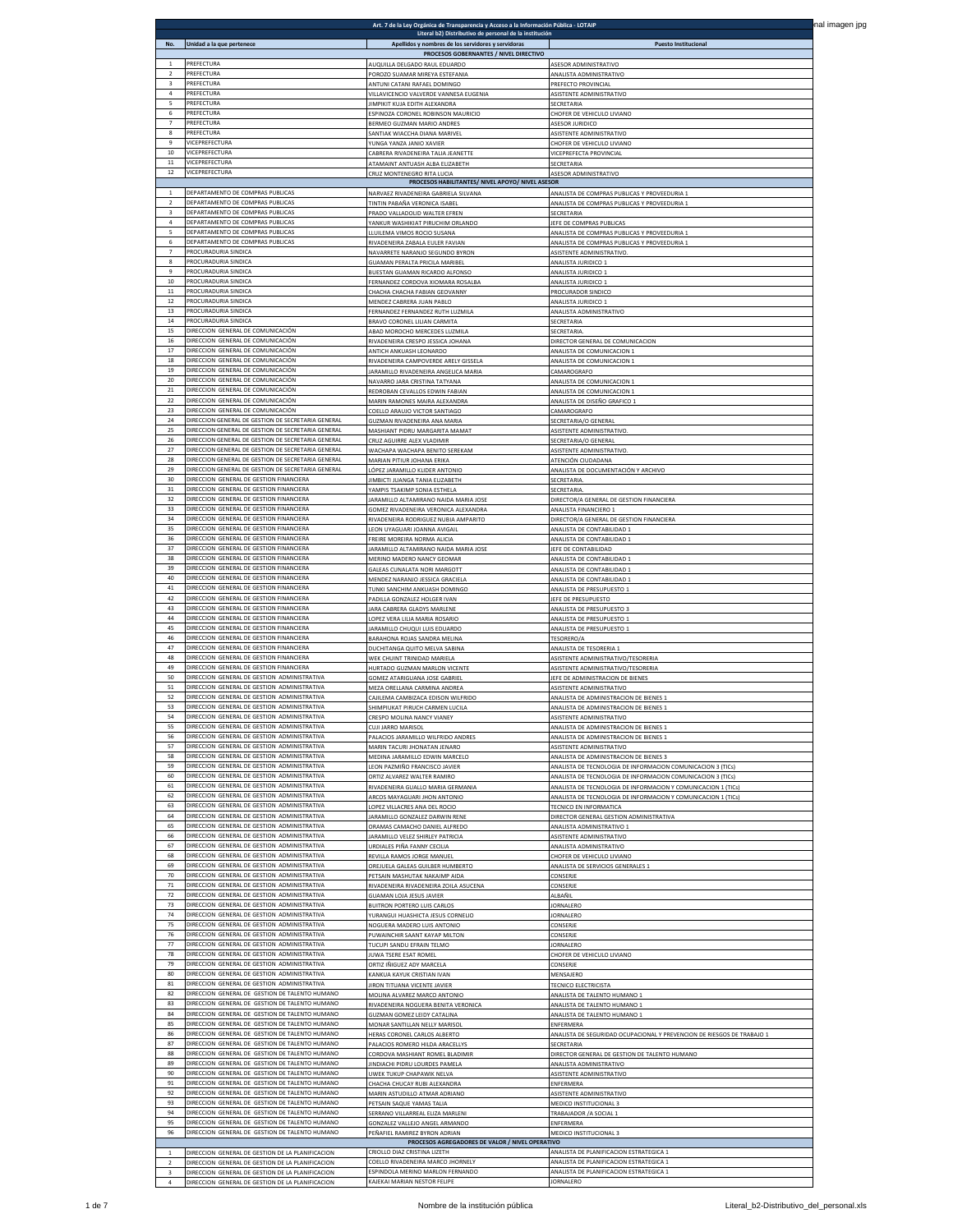| No.                      | Unidad a la que pertenece                                                                                | Literal b2) Distributivo de personal de la institución<br>Apellidos y nombres de los servidores y servidoras | <b>Puesto Institucional</b>                                            |
|--------------------------|----------------------------------------------------------------------------------------------------------|--------------------------------------------------------------------------------------------------------------|------------------------------------------------------------------------|
|                          | PREFECTURA                                                                                               | PROCESOS GOBERNANTES / NIVEL DIRECTIVO<br>AUQUILLA DELGADO RAUL EDUARDO                                      | <b>ASESOR ADMINISTRATIVO</b>                                           |
| $\overline{2}$<br>3      | PREFECTURA<br>PREFECTURA                                                                                 | POROZO SUAMAR MIREYA ESTEFANIA                                                                               | ANALISTA ADMINISTRATIVO                                                |
| $\overline{a}$           | PREFECTURA                                                                                               | ANTUNI CATANI RAFAEL DOMINGO<br>VILLAVICENCIO VALVERDE VANNESA EUGENIA                                       | PREFECTO PROVINCIAL<br>ASISTENTE ADMINISTRATIVO                        |
| $\overline{\phantom{a}}$ | PREFECTURA                                                                                               | IMPIKIT KUJA EDITH ALEXANDRA                                                                                 | HOFER DE VEHICULO LIVIANO                                              |
| 6                        | PREFECTURA                                                                                               | SPINOZA CORONEL ROBINSON MAURICIO                                                                            |                                                                        |
| $\overline{7}$           | PREFECTURA                                                                                               | BERMEO GUZMAN MARIO ANDRES                                                                                   | ASESOR JURIDICO                                                        |
| 8                        | PREFECTURA                                                                                               | SANTIAK WIACCHA DIANA MARIVEL                                                                                | ASISTENTE ADMINISTRATIVO                                               |
| 9                        | VICEPREFECTURA                                                                                           | YUNGA YANZA JANIO XAVIER                                                                                     | CHOFER DE VEHICULO LIVIANO                                             |
| 10                       | VICEPREFECTURA                                                                                           | CABRERA RIVADENEIRA TALIA JEANETTE                                                                           | VICEPREFECTA PROVINCIAL                                                |
| 11                       | VICEPREFECTURA                                                                                           | ATAMAINT ANTUASH ALBA ELIZABETH                                                                              | SECRETARIA                                                             |
| $12\,$                   | VICEPREFECTURA                                                                                           | CRUZ MONTENEGRO RITA LUCIA                                                                                   | ASESOR ADMINISTRATIVO                                                  |
| $\mathbf{1}$             | DEPARTAMENTO DE COMPRAS PUBLICAS                                                                         | PROCESOS HABILITANTES/ NIVEL APOYO/ NIVEL ASESOR<br>NARVAEZ RIVADENEIRA GABRIELA SILVAN                      | MALISTA DE COMPRAS PUBLICAS Y PROVEEDURIA                              |
| $\overline{2}$           | DEPARTAMENTO DE COMPRAS PUBLICAS                                                                         | TINTIN PABAÑA VERONICA ISABEI                                                                                | ANALISTA DE COMPRAS PUBLICAS Y PROVEEDURIA 1                           |
| 3                        | DEPARTAMENTO DE COMPRAS PUBLICAS                                                                         | PRADO VALLADOLID WALTER EFREN                                                                                | SECRETARIA                                                             |
| $\bf{4}$                 | DEPARTAMENTO DE COMPRAS PUBLICAS                                                                         | YANKUR WASHIKIAT PIRUCHIM ORLANDO                                                                            | JEFE DE COMPRAS PUBLICAS                                               |
| 5                        | DEPARTAMENTO DE COMPRAS PUBLICAS                                                                         | LLUILEMA VIMOS ROCIO SUSANA                                                                                  | ANALISTA DE COMPRAS PUBLICAS Y PROVEEDURIA 1                           |
| 6                        | DEPARTAMENTO DE COMPRAS PUBLICAS                                                                         | RIVADENEIRA ZABALA EULER FAVIAN                                                                              | ANALISTA DE COMPRAS PUBLICAS Y PROVEEDURIA 1                           |
| $\overline{7}$           | PROCURADURIA SINDICA                                                                                     | NAVARRETE NARANJO SEGUNDO BYRON                                                                              | ASISTENTE ADMINISTRATIVO.                                              |
| 8                        | PROCURADURIA SINDICA                                                                                     | GUAMAN PERALTA PRICILA MARIBE                                                                                | ANALISTA JURIDICO:                                                     |
| 9                        | PROCURADURIA SINDICA                                                                                     | <b>IUESTAN GUAMAN RICARDO ALFONS</b>                                                                         | <b>INALISTA JURIDICO</b>                                               |
| 10                       | PROCURADURIA SINDICA                                                                                     | ERNANDEZ CORDOVA XIOMARA ROSALBA                                                                             | NALISTA JURIDICO                                                       |
| 11                       | PROCURADURIA SINDICA                                                                                     | CHACHA CHACHA FABIAN GEOVANNY                                                                                | PROCURADOR SINDICO                                                     |
| $12\,$<br>13             | PROCURADURIA SINDICA                                                                                     | MENDEZ CABRERA JUAN PABLO                                                                                    | ANALISTA JURIDICO 1                                                    |
| $14\,$                   | PROCURADURIA SINDICA                                                                                     | FERNANDEZ FERNANDEZ RUTH LUZMILA                                                                             | ANALISTA ADMINISTRATIVO                                                |
|                          | PROCURADURIA SINDICA                                                                                     | BRAVO CORONEL LILIAN CARMITA                                                                                 | SECRETARIA                                                             |
| 15                       | DIRECCION GENERAL DE COMUNICACIÓN                                                                        | ABAD MOROCHO MERCEDES LUZMILA                                                                                | SECRETARIA                                                             |
| $16\,$                   | DIRECCION GENERAL DE COMUNICACIÓN                                                                        | RIVADENEIRA CRESPO IESSICA IOHANA                                                                            | DIRECTOR GENERAL DE COMUNICACION                                       |
| 17                       | DIRECCION GENERAL DE COMUNICACIÓN                                                                        | ANTICH ANKUASH LEONARDO                                                                                      | <b>INALISTA DE COMUNICACION</b>                                        |
| 18                       | DIRECCION GENERAL DE COMUNICACIÓN                                                                        | <b>RIVADENEIRA CAMPOVERDE ARELY GISSE</b>                                                                    | <b>INALISTA DE COMUNICACION</b>                                        |
| 19                       | DIRECCION GENERAL DE COMUNICACIÓN                                                                        | JARAMILLO RIVADENEIRA ANGELICA MARIA                                                                         | CAMAROGRAFO                                                            |
| 20<br>$21\,$             | DIRECCION GENERAL DE COMUNICACIÓN<br>DIRECCIÓN GENERAL DE COMUNICACIÓN                                   | NAVARRO JARA CRISTINA TATYANA                                                                                | ANALISTA DE COMUNICACION 1                                             |
| 22                       | DIRECCION GENERAL DE COMUNICACIÓN                                                                        | REDROBAN CEVALLOS EDWIN FABIAN<br>MARIN RAMONES MAIRA ALEXANDRA                                              | ANALISTA DE COMUNICACION 1<br>ANALISTA DE DISEÑO GRAFICO 1             |
| 23                       | DIRECCION GENERAL DE COMUNICACIÓN                                                                        | COELLO ARAUJO VICTOR SANTIAGO                                                                                | CAMAROGRAEO                                                            |
| 24                       | DIRECCION GENERAL DE GESTION DE SECRETARIA GENERAL                                                       | GUZMAN RIVADENEIRA ANA MARIA                                                                                 | SECRETARIA/O GENERAL                                                   |
| 25                       | DIRECCION GENERAL DE GESTION DE SECRETARIA GENERAL                                                       | MASHIANT PIDRU MARGARITA MAMA                                                                                | <b>ASISTENTE ADMINISTRATIVO</b>                                        |
| 26                       | DIRECCION GENERAL DE GESTION DE SECRETARIA GENERAL                                                       | CRUZ AGUIRRE ALEX VLADIMIR                                                                                   | SECRETARIA/O GENERA                                                    |
| 27                       | DIRECCION GENERAL DE GESTION DE SECRETARIA GENERAL                                                       | WACHAPA WACHAPA BENITO SEREKAM                                                                               | ASISTENTE ADMINISTRATIVO.                                              |
| 28<br>29                 | DIRECCION GENERAL DE GESTION DE SECRETARIA GENERAL<br>DIRECCION GENERAL DE GESTION DE SECRETARIA GENERAL | MARIAN PITIUR JOHANA ERIKA                                                                                   | ATENCIÓN CIUDADANA                                                     |
| 30                       | DIRECCION GENERAL DE GESTION FINANCIERA                                                                  | LÓPEZ JARAMILLO KLIDER ANTONIO<br>IIMBICTI JUANGA TANIA ELIZABETH                                            | ANALISTA DE DOCUMENTACIÓN Y ARCHIVO<br>SECRETARIA                      |
| 31                       | DIRECCION GENERAL DE GESTION FINANCIERA                                                                  | YAMPIS TSAKIMP SONIA ESTHELA                                                                                 | SECRETARIA                                                             |
| 32                       | DIRECCION GENERAL DE GESTION FINANCIERA                                                                  | JARAMILLO ALTAMIRANO NAIDA MARIA JOSE                                                                        | DIRECTOR/A GENERAL DE GESTION FINANCIERA                               |
| 33                       | DIRECCION GENERAL DE GESTION FINANCIERA                                                                  | GOMEZ RIVADENEIRA VERONICA ALEXANDRA                                                                         | ANALISTA FINANCIERO 1                                                  |
| 34                       | DIRECCION GENERAL DE GESTION FINANCIERA                                                                  | RIVADENEIRA RODRIGUEZ NUBIA AMPARITO                                                                         | DIRECTOR/A GENERAL DE GESTION FINANCIERA                               |
| 35                       | DIRECCION GENERAL DE GESTION FINANCIERA                                                                  | EON UYAGUARI JOANNA AVIGA                                                                                    | <b>NALISTA DE CONTABILIDAD</b>                                         |
| 36                       | DIRECCION GENERAL DE GESTION FINANCIERA                                                                  | FREIRE MOREIRA NORMA ALICIA                                                                                  | ANALISTA DE CONTABILIDAD 1                                             |
| 37                       | DIRECCION GENERAL DE GESTION FINANCIERA                                                                  | JARAMILLO ALTAMIRANO NAIDA MARIA JOSE                                                                        | JEFE DE CONTABILIDAD                                                   |
| 38                       | DIRECCION GENERAL DE GESTION FINANCIERA                                                                  | MERINO MADERO NANCY GEOMAR                                                                                   | ANALISTA DE CONTABILIDAD 1                                             |
| 39                       | DIRECCION GENERAL DE GESTION FINANCIERA                                                                  | GALEAS CUNALATA NORI MARGOTT                                                                                 | ANALISTA DE CONTABILIDAD 1                                             |
| 40                       | DIRECCION GENERAL DE GESTION FINANCIERA                                                                  | MENDEZ NARANJO JESSICA GRACIELA                                                                              | ANALISTA DE CONTABILIDAD 1                                             |
| $41\,$<br>42             | DIRECCION GENERAL DE GESTION FINANCIERA<br>DIRECCION GENERAL DE GESTION FINANCIERA                       | TUNKI SANCHIM ANKUASH DOMINGO                                                                                | ANALISTA DE PRESUPUESTO 1                                              |
| 43                       | DIRECCION GENERAL DE GESTION FINANCIERA                                                                  | PADILLA GONZALEZ HOLGER IVAN<br>ARA CABRERA GLADYS MARLEN                                                    | <b>IEFE DE PRESUPUESTO</b><br><b>INALISTA DE PRESUPUESTO</b>           |
| 44                       | DIRECCION GENERAL DE GESTION FINANCIERA                                                                  | LOPEZ VERA LILIA MARIA ROSARIO                                                                               | ANALISTA DE PRESUPUESTO 1                                              |
| 45                       | DIRECCION GENERAL DE GESTION FINANCIERA                                                                  | ARAMILLO CHUQUI LUIS EDUARDO                                                                                 | ANALISTA DE PRESUPUESTO 1                                              |
| 46<br>47                 | DIRECCION GENERAL DE GESTION FINANCIERA                                                                  | BARAHONA ROJAS SANDRA MELINA                                                                                 | <b>TESORERO/A</b>                                                      |
| 48                       | DIRECCION GENERAL DE GESTION FINANCIERA                                                                  | DUCHITANGA QUITO MELVA SABINA                                                                                | ANALISTA DE TESORERIA 1                                                |
|                          | DIRECCION GENERAL DE GESTION FINANCIERA                                                                  | WEK CHUINT TRINIDAD MARIELA                                                                                  | ASISTENTE ADMINISTRATIVO/TESORERIA                                     |
| 49                       | DIRECCION GENERAL DE GESTION FINANCIERA                                                                  | HURTADO GUZMAN MARLON VICENTE                                                                                | ASISTENTE ADMINISTRATIVO/TESORERIA                                     |
| 50                       | DIRECCION GENERAL DE GESTION ADMINISTRATIVA                                                              | <b>SOMEZ ATARIGUANA JOSE GABRIE</b>                                                                          | JEFE DE ADMINISTRACION DE BIENE                                        |
| 51                       | DIRECCION GENERAL DE GESTION ADMINISTRATIVA                                                              | MEZA ORELLANA CARMINA ANDR                                                                                   |                                                                        |
| 52                       | DIRECCION GENERAL DE GESTION ADMINISTRATIVA                                                              | CAJILEMA CAMBIZACA EDISON WILFRIDO                                                                           | ANALISTA DE ADMINISTRACION DE BIENES :                                 |
| 53                       | DIRECCION GENERAL DE GESTION ADMINISTRATIVA                                                              | SHIMPIUKAT PIRUCH CARMEN LUCILA                                                                              | ANALISTA DE ADMINISTRACION DE BIENES 1                                 |
| 54                       | DIRECCION GENERAL DE GESTION ADMINISTRATIVA                                                              | CRESPO MOLINA NANCY VIANEY                                                                                   | ASISTENTE ADMINISTRATIVO                                               |
| 55                       | DIRECCION GENERAL DE GESTION ADMINISTRATIVA                                                              | CUJI JARRO MARISOL                                                                                           | ANALISTA DE ADMINISTRACION DE BIENES 1                                 |
| 56                       | DIRECCION GENERAL DE GESTION ADMINISTRATIVA                                                              | PALACIOS JARAMILLO WILFRIDO ANDRES                                                                           | ANALISTA DE ADMINISTRACION DE BIENES 1                                 |
| 57                       | DIRECCION GENERAL DE GESTION ADMINISTRATIVA                                                              | MARIN TACURI JHONATAN JENARO                                                                                 | ASISTENTE ADMINISTRATIVO                                               |
| 58                       | DIRECCION GENERAL DE GESTION ADMINISTRATIVA                                                              | MEDINA JARAMILLO EDWIN MARCELO                                                                               | ANALISTA DE ADMINISTRACION DE BIENES 3                                 |
| 59                       | DIRECCION GENERAL DE GESTION ADMINISTRATIVA                                                              | LEON PAZMIÑO FRANCISCO JAVIER                                                                                | ANALISTA DE TECNOLOGIA DE INFORMACION COMUNICACION 3 (TICs             |
| 60                       | DIRECCION GENERAL DE GESTION ADMINISTRATIVA                                                              | ORTIZ ALVAREZ WALTER RAMIRO                                                                                  | MALISTA DE TECNOLOGIA DE INFORMACION COMUNICACION 3 (TICs              |
| 61                       | DIRECCION GENERAL DE GESTION ADMINISTRATIVA                                                              | RIVADENEIRA GUALLO MARIA GERMANIA                                                                            | ANALISTA DE TECNOLOGIA DE INFORMACION Y COMUNICACION 1 (TICs           |
| 62                       | DIRECCION GENERAL DE GESTION ADMINISTRATIVA                                                              | ARCOS MAYAGUARI JHON ANTONIO                                                                                 | ANALISTA DE TECNOLOGIA DE INFORMACION Y COMUNICACION 1 (TICs)          |
| 63                       | DIRECCION GENERAL DE GESTION ADMINISTRATIVA                                                              | LOPEZ VILLACRES ANA DEL ROCIO                                                                                | <b>TECNICO EN INFORMATICA</b>                                          |
| 64                       | DIRECCION GENERAL DE GESTION ADMINISTRATIVA                                                              | JARAMILLO GONZALEZ DARWIN RENE                                                                               | DIRECTOR GENERAL GESTION ADMINISTRATIVA                                |
| 65                       | DIRECCION GENERAL DE GESTION ADMINISTRATIVA                                                              | ORAMAS CAMACHO DANIEL ALFREDO                                                                                | ANALISTA ADMINISTRATIVO 1                                              |
| 66                       | DIRECCION GENERAL DE GESTION ADMINISTRATIVA                                                              | <b>IARAMILLO VELEZ SHIRLEY PATRICIA</b>                                                                      | ASISTENTE ADMINISTRATIVO                                               |
| 67                       | DIRECCION GENERAL DE GESTION ADMINISTRATIVA                                                              | <u>URDIALES PIÑA FANNY CECILIA</u>                                                                           | ANALISTA ADMINISTRATIVO                                                |
| 68                       | DIRECCION GENERAL DE GESTION ADMINISTRATIVA                                                              | REVILLA RAMOS JORGE MANUE                                                                                    | <b>HOFER DE VEHICULO LIVIANO</b>                                       |
| 69                       | DIRECCION GENERAL DE GESTION ADMINISTRATIVA                                                              | OREJUELA GALEAS GUILBER HUMBERTO                                                                             | ANALISTA DE SERVICIOS GENERALES 1                                      |
| 70                       | DIRECCION GENERAL DE GESTION ADMINISTRATIVA                                                              | PETSAIN MASHUTAK NAKAIMP AIDA                                                                                | CONSERJE                                                               |
| $71\,$                   | DIRECCION GENERAL DE GESTION ADMINISTRATIVA                                                              | RIVADENEIRA RIVADENEIRA ZOILA ASUCENA                                                                        | CONSERJE                                                               |
| 72                       | DIRECCION GENERAL DE GESTION ADMINISTRATIVA                                                              | GUAMAN LOJA JESUS JAVIER                                                                                     | ALBAÑIL                                                                |
| 73                       | DIRECCION GENERAL DE GESTION ADMINISTRATIVA                                                              |                                                                                                              | <b>JORNALERO</b>                                                       |
| 74                       | DIRECCION GENERAL DE GESTION ADMINISTRATIVA                                                              | <b>BUITRON PORTERO LUIS CARLOS</b><br>YURANGUI HUASHICTA JESUS CORNELIO                                      | <b>JORNALERO</b>                                                       |
| 75                       | DIRECCION GENERAL DE GESTION ADMINISTRATIVA                                                              | NOGUERA MADERO LUIS ANTONIC                                                                                  | CONSERJE                                                               |
| 76                       | DIRECCION GENERAL DE GESTION ADMINISTRATIVA                                                              | PUWAINCHIR SAANT KAYAP MILTON                                                                                | CONSERJE                                                               |
| 77                       | DIRECCION GENERAL DE GESTION ADMINISTRATIVA                                                              | TUCUPI SANDU EFRAIN TELMO                                                                                    | JORNALERO                                                              |
| 78                       | DIRECCION GENERAL DE GESTION ADMINISTRATIVA                                                              | <b>IUWA TSERE ESAT ROMEL</b>                                                                                 | CHOFER DE VEHICULO LIVIANO                                             |
| 79                       | DIRECCION GENERAL DE GESTION ADMINISTRATIVA                                                              | <u>ORTIZ IÑIGUEZ ADY MARCELA</u>                                                                             | CONSERJE                                                               |
| 80                       | DIRECCION GENERAL DE GESTION ADMINISTRATIVA                                                              | KANKUA KAYUK CRISTIAN IVAN                                                                                   | MENSAJERO                                                              |
| 81                       | DIRECCION GENERAL DE GESTION ADMINISTRATIVA                                                              | JIRON TITUANA VICENTE JAVIER                                                                                 | TECNICO ELECTRICISTA                                                   |
| 82                       | DIRECCION GENERAL DE GESTION DE TALENTO HUMANO                                                           | MOLINA ALVAREZ MARCO ANTONIO                                                                                 | ANALISTA DE TALENTO HUMANO 1                                           |
| 83                       | DIRECCION GENERAL DE GESTION DE TALENTO HUMANO                                                           | RIVADENEIRA NOGUERA BENITA VERONICA                                                                          | ANALISTA DE TALENTO HUMANO 1                                           |
| 84                       | DIRECCION GENERAL DE GESTION DE TALENTO HUMANO                                                           | GUZMAN GOMEZ LEIDY CATALINA                                                                                  | ANALISTA DE TALENTO HUMANO 1                                           |
| 85                       | DIRECCION GENERAL DE GESTION DE TALENTO HUMANO                                                           | MONAR SANTILLAN NELLY MARISO                                                                                 | ANALISTA DE SEGURIDAD OCUPACIONAL Y PREVENCION DE RIESGOS DE TRABAJO 1 |
| 86                       | DIRECCION GENERAL DE GESTION DE TALENTO HUMANO                                                           | HERAS CORONEL CARLOS ALBERTO                                                                                 |                                                                        |
| 87                       | DIRECCION GENERAL DE GESTION DE TALENTO HUMANO                                                           | PALACIOS ROMERO HILDA ARACELLYS                                                                              | SECRETARIA                                                             |
| 88                       | DIRECCION GENERAL DE GESTION DE TALENTO HUMANO                                                           | CORDOVA MASHIANT ROMEL BLADIMIR                                                                              | DIRECTOR GENERAL DE GESTION DE TALENTO HUMANO                          |
| 89                       | DIRECCION GENERAL DE GESTION DE TALENTO HUMANO                                                           | JINDIACHI PIDRU LOURDES PAMELA                                                                               | ANALISTA ADMINISTRATIVO                                                |
| 90<br>91                 | DIRECCION GENERAL DE GESTION DE TALENTO HUMANO<br>DIRECCION GENERAL DE GESTION DE TALENTO HUMANO         | UWEK TUKUP CHAPAWIK NELVA                                                                                    | ASISTENTE ADMINISTRATIVO                                               |
| 92                       | DIRECCION GENERAL DE GESTION DE TALENTO HUMANO                                                           | CHACHA CHUCAY RUBI ALEXANDRA<br>MARIN ASTUDILLO ATMAR ADRIANO                                                | ENFERMERA<br><b>ASISTENTE ADMINISTRATIVO</b>                           |
| 93                       | DIRECCION GENERAL DE GESTION DE TALENTO HUMANO                                                           | <b>PETSAIN SAQUE YAMAS TALIA</b>                                                                             | <b><i>MEDICO INSTITUCIONAL</i></b>                                     |
| 94                       | DIRECCION GENERAL DE GESTION DE TALENTO HUMANO                                                           | SERRANO VILLARREAL ELIZA MARLENI                                                                             | TRABAJADOR / A SOCIAL 1                                                |
| 95                       | DIRECCION GENERAL DE GESTION DE TALENTO HUMANO                                                           | GONZALEZ VALLEJO ANGEL ARMANDO                                                                               | ENFERMERA                                                              |
| 96                       | DIRECCION GENERAL DE GESTION DE TALENTO HUMANO                                                           | PEÑAFIEL RAMIREZ BYRON ADRIAN<br>PROCESOS AGREGADORES DE VALOR / NIVEL OPERATIVO                             | MEDICO INSTITUCIONAL 3                                                 |
| $1\,$                    | DIRECCION GENERAL DE GESTION DE LA PLANIFICACION                                                         | CRIOLLO DIAZ CRISTINA LIZETH                                                                                 | ANALISTA DE PLANIFICACION ESTRATEGICA 1                                |
| $\overline{2}$           | DIRECCION GENERAL DE GESTION DE LA PLANIFICACION                                                         | COELLO RIVADENEIRA MARCO JHORNELY                                                                            | ANALISTA DE PLANIFICACION ESTRATEGICA 1                                |
| $\overline{\mathbf{3}}$  | DIRECCION GENERAL DE GESTION DE LA PLANIFICACION                                                         | ESPINDOLA MERINO MARLON FERNANDO                                                                             | ANALISTA DE PLANIFICACION ESTRATEGICA 1                                |
| $\overline{4}$           | DIRECCION GENERAL DE GESTION DE LA PLANIFICACION                                                         | KAJEKAI MARIAN NESTOR FELIPE                                                                                 | <b>JORNALERO</b>                                                       |

**Art. 7 de la Ley Orgánica de Transparencia y Acceso a la Información Pública - LOTAIP**

**logonizat** nal imagen jpg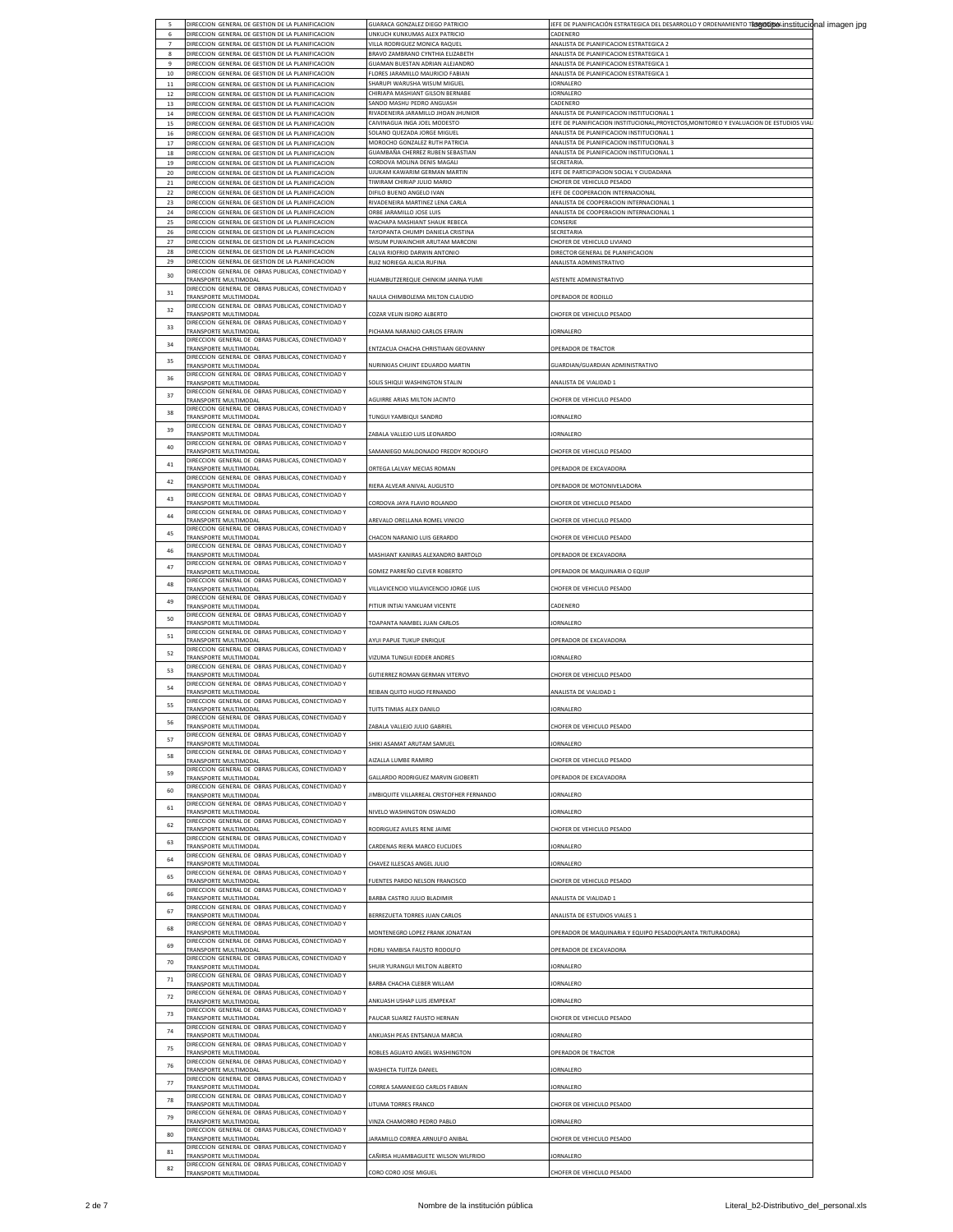| 5                   | DIRECCION GENERAL DE GESTION DE LA PLANIFICACION                                                        | GUARACA GONZALEZ DIEGO PATRICIO                                  | JEFE DE PLANIFICACIÓN ESTRATEGICA DEL DE <u>SARROLLO Y ORDENAMIENTO T<b>RONOLÍNOL</b>INSt<b>itucio</b>nal imagen jpg</u>              |  |
|---------------------|---------------------------------------------------------------------------------------------------------|------------------------------------------------------------------|---------------------------------------------------------------------------------------------------------------------------------------|--|
| 6<br>$\overline{7}$ | DIRECCION GENERAL DE GESTION DE LA PLANIFICACION<br>DIRECCION GENERAL DE GESTION DE LA PLANIFICACION    | UNKUCH KUNKUMAS ALEX PATRICIO<br>VILLA RODRIGUEZ MONICA RAQUEL   | CADENERO<br>ANALISTA DE PLANIFICACION ESTRATEGICA 2                                                                                   |  |
| 8                   | DIRECCION GENERAL DE GESTION DE LA PLANIFICACION                                                        | BRAVO ZAMBRANO CYNTHIA ELIZABETH                                 | ANALISTA DE PLANIFICACION ESTRATEGICA 1                                                                                               |  |
| $\overline{9}$      | DIRECCION GENERAL DE GESTION DE LA PLANIFICACION                                                        | GUAMAN BUESTAN ADRIAN ALEJANDRO                                  | ANALISTA DE PLANIFICACION ESTRATEGICA 1                                                                                               |  |
| 10                  | DIRECCION GENERAL DE GESTION DE LA PLANIFICACION                                                        | FLORES JARAMILLO MAURICIO FABIAN<br>SHARUPI WARUSHA WISUM MIGUEL | ANALISTA DE PLANIFICACION ESTRATEGICA 1<br><b>JORNALERO</b>                                                                           |  |
| 11<br>$12$          | DIRECCION GENERAL DE GESTION DE LA PLANIFICACION<br>DIRECCION GENERAL DE GESTION DE LA PLANIFICACION    | CHIRIAPA MASHIANT GILSON BERNABE                                 | <b>JORNALERO</b>                                                                                                                      |  |
| 13                  | DIRECCION GENERAL DE GESTION DE LA PLANIFICACION                                                        | SANDO MASHU PEDRO ANGUASH                                        | CADENERO                                                                                                                              |  |
| 14                  | DIRECCION, GENERAL DE GESTION DE LA PLANIFICACION                                                       | RIVADENEIRA JARAMILLO JHOAN JHUNIOR                              | ANALISTA DE PLANIFICACION INSTITUCIONAL 1                                                                                             |  |
| 15<br>16            | DIRECCION GENERAL DE GESTION DE LA PLANIFICACION<br>DIRECCION GENERAL DE GESTION DE LA PLANIFICACION    | CAIVINAGUA INGA JOEL MODESTO<br>SOLANO QUEZADA JORGE MIGUEL      | JEFE DE PLANIFICACION INSTITUCIONAL, PROYECTOS, MONITOREO Y EVALUACION DE ESTUDIOS VIALI<br>ANALISTA DE PLANIFICACION INSTITUCIONAL 1 |  |
| 17                  | DIRECCION GENERAL DE GESTION DE LA PLANIFICACION                                                        | MOROCHO GONZALEZ RUTH PATRICIA                                   | ANALISTA DE PLANIFICACION INSTITUCIONAL 3                                                                                             |  |
| 18                  | DIRECCION GENERAL DE GESTION DE LA PLANIFICACION                                                        | GUAMBAÑA CHERREZ RUBEN SEBASTIAN                                 | ANALISTA DE PLANIFICACION INSTITUCIONAL 1                                                                                             |  |
| 19                  | DIRECCION GENERAL DE GESTION DE LA PLANIFICACION                                                        | CORDOVA MOLINA DENIS MAGALI                                      | SECRETARIA                                                                                                                            |  |
| 20<br>21            | DIRECCION GENERAL DE GESTION DE LA PLANIFICACION<br>DIRECCION GENERAL DE GESTION DE LA PLANIFICACION    | UJUKAM KAWARIM GERMAN MARTIN<br>TIWIRAM CHIRIAP JULIO MARIO      | JEFE DE PARTICIPACION SOCIAL Y CIUDADANA<br>CHOFER DE VEHICULO PESADO                                                                 |  |
| 22                  | DIRECCION GENERAL DE GESTION DE LA PLANIFICACION                                                        | DIFILO BUENO ANGELO IVAN                                         | JEFE DE COOPERACION INTERNACIONAL                                                                                                     |  |
| 23                  | DIRECCION GENERAL DE GESTION DE LA PLANIFICACION                                                        | RIVADENEIRA MARTINEZ LENA CARLA                                  | ANALISTA DE COOPERACION INTERNACIONAL 1                                                                                               |  |
| 24<br>25            | DIRECCION GENERAL DE GESTION DE LA PLANIFICACION<br>DIRECCION GENERAL DE GESTION DE LA PLANIFICACION    | ORBE JARAMILLO JOSE LUIS<br>WACHAPA MASHIANT SHAUK REBECA        | ANALISTA DE COOPERACION INTERNACIONAL 1<br>CONSERJE                                                                                   |  |
| 26                  | DIRECCION GENERAL DE GESTION DE LA PLANIFICACION                                                        | TAYOPANTA CHUMPI DANIELA CRISTINA                                | SECRETARIA                                                                                                                            |  |
| 27                  | DIRECCION GENERAL DE GESTION DE LA PLANIFICACION                                                        | WISUM PUWAINCHIR ARUTAM MARCONI                                  | CHOFER DE VEHICULO LIVIANO                                                                                                            |  |
| 28                  | DIRECCION GENERAL DE GESTION DE LA PLANIFICACION                                                        | ALVA RIOFRIO DARWIN ANTONIO                                      | DIRECTOR GENERAL DE PLANIFICACION                                                                                                     |  |
| 29                  | DIRECCION GENERAL DE GESTION DE LA PLANIFICACION<br>DIRECCION GENERAL DE OBRAS PUBLICAS, CONECTIVIDAD Y | RUIZ NORIEGA ALICIA RUFINA                                       | ANALISTA ADMINISTRATIVO                                                                                                               |  |
| 30                  | TRANSPORTE MULTIMODAI                                                                                   | HUAMBUTZEREQUE CHINKIM JANINA YUMI                               | AISTENTE ADMINISTRATIVO                                                                                                               |  |
| 31                  | DIRECCION GENERAL DE OBRAS PUBLICAS, CONECTIVIDAD Y<br>TRANSPORTE MULTIMODAL                            | NAULA CHIMBOLEMA MILTON CLAUDIO                                  | OPERADOR DE RODILLO                                                                                                                   |  |
| 32                  | DIRECCION GENERAL DE OBRAS PUBLICAS, CONECTIVIDAD Y                                                     |                                                                  |                                                                                                                                       |  |
|                     | TRANSPORTE MULTIMODAL                                                                                   | COZAR VELIN ISIDRO ALBERTO                                       | CHOFER DE VEHICULO PESADO                                                                                                             |  |
| 33                  | DIRECCION GENERAL DE OBRAS PUBLICAS, CONECTIVIDAD Y<br>TRANSPORTE MULTIMODAI                            | PICHAMA NARANJO CARLOS EFRAIN                                    | ORNALERO                                                                                                                              |  |
| 34                  | DIRECCION GENERAL DE OBRAS PUBLICAS, CONECTIVIDAD Y                                                     |                                                                  |                                                                                                                                       |  |
|                     | TRANSPORTE MULTIMODAL<br>DIRECCION GENERAL DE OBRAS PUBLICAS, CONECTIVIDAD Y                            | ENTZACUA CHACHA CHRISTIAAN GEOVANNY                              | OPERADOR DE TRACTOR                                                                                                                   |  |
| 35                  | <b>FRANSPORTE MULTIMODAL</b>                                                                            | NURINKIAS CHUINT EDUARDO MARTIN                                  | GUARDIAN/GUARDIAN ADMINISTRATIVO                                                                                                      |  |
| 36                  | DIRECCION GENERAL DE OBRAS PUBLICAS, CONECTIVIDAD Y<br><b>FRANSPORTE MULTIMODAI</b>                     | SOLIS SHIQUI WASHINGTON STALIN                                   | <b>NALISTA DE VIALIDAD 1</b>                                                                                                          |  |
| 37                  | DIRECCION GENERAL DE OBRAS PUBLICAS, CONECTIVIDAD Y                                                     |                                                                  |                                                                                                                                       |  |
|                     | <b>TRANSPORTE MULTIMODAL</b>                                                                            | AGUIRRE ARIAS MILTON JACINTO                                     | CHOFER DE VEHICULO PESADO                                                                                                             |  |
| 38                  | DIRECCION GENERAL DE OBRAS PUBLICAS, CONECTIVIDAD Y<br><b>FRANSPORTE MULTIMODAL</b>                     | TUNGUI YAMBIQUI SANDRO                                           | JORNALERO                                                                                                                             |  |
| 39                  | DIRECCION GENERAL DE OBRAS PUBLICAS, CONECTIVIDAD Y                                                     |                                                                  |                                                                                                                                       |  |
|                     | TRANSPORTE MULTIMODAI<br>DIRECCION GENERAL DE OBRAS PUBLICAS, CONECTIVIDAD Y                            | ZABALA VALLEJO LUIS LEONARDO                                     | ORNALERO                                                                                                                              |  |
| 40                  | TRANSPORTE MULTIMODAL                                                                                   | SAMANIEGO MALDONADO FREDDY RODOLFO                               | CHOFER DE VEHICULO PESADO                                                                                                             |  |
| 41                  | DIRECCION GENERAL DE OBRAS PUBLICAS, CONECTIVIDAD Y<br>TRANSPORTE MULTIMODAL                            | ORTEGA LALVAY MECIAS ROMAN                                       | OPERADOR DE EXCAVADORA                                                                                                                |  |
| 42                  | DIRECCION GENERAL DE OBRAS PUBLICAS, CONECTIVIDAD Y                                                     |                                                                  |                                                                                                                                       |  |
|                     | <b>FRANSPORTE MULTIMODAL</b><br>DIRECCION GENERAL DE OBRAS PUBLICAS, CONECTIVIDAD Y                     | RIERA ALVEAR ANIVAL AUGUSTO                                      | OPERADOR DE MOTONIVELADORA                                                                                                            |  |
| 43                  | TRANSPORTE MULTIMODAL                                                                                   | CORDOVA JAYA FLAVIO ROLANDO                                      | CHOFER DE VEHICULO PESADO                                                                                                             |  |
| 44                  | DIRECCION GENERAL DE OBRAS PUBLICAS, CONECTIVIDAD Y<br>TRANSPORTE MULTIMODAL                            | AREVALO ORELLANA ROMEL VINICIO                                   | CHOFER DE VEHICULO PESADO                                                                                                             |  |
| 45                  | DIRECCION GENERAL DE OBRAS PUBLICAS, CONECTIVIDAD Y                                                     |                                                                  |                                                                                                                                       |  |
|                     | RANSPORTE MULTIMODA                                                                                     | CHACON NARANJO LUIS GERARDO                                      | CHOFER DE VEHICULO PESADO                                                                                                             |  |
| 46                  | DIRECCION GENERAL DE OBRAS PUBLICAS, CONECTIVIDAD Y<br>TRANSPORTE MULTIMODAL                            | MASHIANT KANIRAS ALEXANDRO BARTOLO                               | OPERADOR DE EXCAVADORA                                                                                                                |  |
| 47                  | DIRECCION GENERAL DE OBRAS PUBLICAS, CONECTIVIDAD Y                                                     |                                                                  |                                                                                                                                       |  |
|                     | TRANSPORTE MULTIMODAL<br>DIRECCION GENERAL DE OBRAS PUBLICAS, CONECTIVIDAD Y                            | GOMEZ PARREÑO CLEVER ROBERTO                                     | OPERADOR DE MAQUINARIA O EQUIP                                                                                                        |  |
| 48                  | <b>FRANSPORTE MULTIMODAL</b>                                                                            | VILLAVICENCIO VILLAVICENCIO JORGE LUIS                           | CHOFER DE VEHICULO PESADO                                                                                                             |  |
| 49                  | DIRECCION GENERAL DE OBRAS PUBLICAS, CONECTIVIDAD Y<br>TRANSPORTE MULTIMODAL                            | PITIUR INTIAI YANKUAM VICENTE                                    | CADENERO                                                                                                                              |  |
| 50                  | DIRECCION GENERAL DE OBRAS PUBLICAS, CONECTIVIDAD Y                                                     |                                                                  |                                                                                                                                       |  |
|                     | TRANSPORTE MULTIMODAL<br>DIRECCION GENERAL DE OBRAS PUBLICAS, CONECTIVIDAD Y                            | TOAPANTA NAMBEL JUAN CARLOS                                      | JORNALERO                                                                                                                             |  |
| 51                  | TRANSPORTE MULTIMODAL                                                                                   | AYUI PAPUE TUKUP ENRIQUE                                         | OPERADOR DE EXCAVADORA                                                                                                                |  |
| 52                  | DIRECCION GENERAL DE OBRAS PUBLICAS, CONECTIVIDAD Y<br>TRANSPORTE MULTIMODAL                            | VIZUMA TUNGUI EDDER ANDRES                                       | <b>JORNALERO</b>                                                                                                                      |  |
| 53                  | DIRECCION GENERAL DE OBRAS PUBLICAS, CONECTIVIDAD Y                                                     |                                                                  |                                                                                                                                       |  |
|                     | TRANSPORTE MULTIMODAL                                                                                   | GUTIERREZ ROMAN GERMAN VITERVO                                   | CHOFER DE VEHICULO PESADO                                                                                                             |  |
| 54                  | DIRECCION GENERAL DE OBRAS PUBLICAS, CONECTIVIDAD Y<br><b>FRANSPORTE MULTIMODAL</b>                     | REIBAN QUITO HUGO FERNANDO                                       | ANALISTA DE VIALIDAD 1                                                                                                                |  |
| 55                  | DIRECCION GENERAL DE OBRAS PUBLICAS, CONECTIVIDAD Y                                                     |                                                                  |                                                                                                                                       |  |
|                     | TRANSPORTE MULTIMODAL<br>DIRECCION GENERAL DE OBRAS PUBLICAS, CONECTIVIDAD Y                            | TUITS TIMIAS ALEX DANILO                                         | ORNALERO                                                                                                                              |  |
| 56                  | TRANSPORTE MULTIMODAL                                                                                   | ZABALA VALLEJO JULIO GABRIEL                                     | CHOFER DE VEHICULO PESADO                                                                                                             |  |
| 57                  | DIRECCION GENERAL DE OBRAS PUBLICAS, CONECTIVIDAD Y<br><b>RANSPORTE MULTIMODAL</b>                      | SHIKI ASAMAT ARUTAM SAMUEL                                       | <b>JORNALERO</b>                                                                                                                      |  |
| 58                  | DIRECCION GENERAL DE OBRAS PUBLICAS, CONECTIVIDAD Y                                                     |                                                                  |                                                                                                                                       |  |
|                     | TRANSPORTE MULTIMODAL<br>DIRECCION GENERAL DE OBRAS PUBLICAS, CONECTIVIDAD Y                            | AIZALLA LUMBE RAMIRO                                             | CHOFER DE VEHICULO PESADO                                                                                                             |  |
| 59                  | TRANSPORTE MULTIMODAL                                                                                   | GALLARDO RODRIGUEZ MARVIN GIOBERTI                               | OPERADOR DE EXCAVADORA                                                                                                                |  |
| 60                  | DIRECCION GENERAL DE OBRAS PUBLICAS, CONECTIVIDAD Y<br><b>FRANSPORTE MULTIMODAL</b>                     | IMBIQUITE VILLARREAL CRISTOFHER FERNANDO                         | <b>JORNALERO</b>                                                                                                                      |  |
| 61                  | DIRECCION GENERAL DE OBRAS PUBLICAS, CONECTIVIDAD Y                                                     |                                                                  |                                                                                                                                       |  |
|                     | TRANSPORTE MULTIMODAL                                                                                   | NIVELO WASHINGTON OSWALDO                                        | JORNALERO                                                                                                                             |  |
| 62                  | DIRECCION GENERAL DE OBRAS PUBLICAS, CONECTIVIDAD Y<br>TRANSPORTE MULTIMODAL                            | RODRIGUEZ AVILES RENE JAIME                                      | CHOFER DE VEHICULO PESADO                                                                                                             |  |
| 63                  | DIRECCION GENERAL DE OBRAS PUBLICAS, CONECTIVIDAD Y                                                     |                                                                  |                                                                                                                                       |  |
|                     | TRANSPORTE MULTIMODAL<br>DIRECCION GENERAL DE OBRAS PUBLICAS, CONECTIVIDAD Y                            | CARDENAS RIERA MARCO EUCLIDES                                    | JORNALERO                                                                                                                             |  |
| 64                  | TRANSPORTE MULTIMODAL                                                                                   | CHAVEZ ILLESCAS ANGEL JULIO                                      | ORNALERO                                                                                                                              |  |
| 65                  | DIRECCION GENERAL DE OBRAS PUBLICAS, CONECTIVIDAD Y<br><b>TRANSPORTE MULTIMODAL</b>                     | FUENTES PARDO NELSON FRANCISCO                                   | CHOFER DE VEHICULO PESADO                                                                                                             |  |
| 66                  | DIRECCION GENERAL DE OBRAS PUBLICAS, CONECTIVIDAD Y                                                     |                                                                  |                                                                                                                                       |  |
|                     | TRANSPORTE MULTIMODAL<br>DIRECCION GENERAL DE OBRAS PUBLICAS, CONECTIVIDAD Y                            | BARBA CASTRO JULIO BLADIMIR                                      | ANALISTA DE VIALIDAD 1                                                                                                                |  |
| 67                  | <b>FRANSPORTE MULTIMODAL</b>                                                                            | BERREZUETA TORRES JUAN CARLOS                                    | ANALISTA DE ESTUDIOS VIALES 1                                                                                                         |  |
| 68                  | DIRECCION GENERAL DE OBRAS PUBLICAS, CONECTIVIDAD Y<br><b>TRANSPORTE MULTIMODAL</b>                     | MONTENEGRO LOPEZ FRANK JONATAN                                   |                                                                                                                                       |  |
|                     | DIRECCION GENERAL DE OBRAS PUBLICAS, CONECTIVIDAD Y                                                     |                                                                  | OPERADOR DE MAQUINARIA Y EQUIPO PESADO(PLANTA TRITURADORA)                                                                            |  |
| 69                  | TRANSPORTE MULTIMODAL                                                                                   | PIDRU YAMBISA FAUSTO RODOLFO                                     | OPERADOR DE EXCAVADORA                                                                                                                |  |
| 70                  | DIRECCION GENERAL DE OBRAS PUBLICAS, CONECTIVIDAD Y<br>TRANSPORTE MULTIMODAL                            | SHUIR YURANGUI MILTON ALBERTO                                    | JORNALERO                                                                                                                             |  |
| 71                  | DIRECCION GENERAL DE OBRAS PUBLICAS, CONECTIVIDAD Y                                                     |                                                                  |                                                                                                                                       |  |
|                     | TRANSPORTE MULTIMODAL<br>DIRECCION GENERAL DE OBRAS PUBLICAS, CONECTIVIDAD Y                            | BARBA CHACHA CLEBER WILLAM                                       | ORNALERO                                                                                                                              |  |
| 72                  | <b>RANSPORTE MULTIMODAL</b>                                                                             | ANKUASH USHAP LUIS JEMPEKAT                                      | JORNALERO                                                                                                                             |  |
| 73                  | DIRECCION GENERAL DE OBRAS PUBLICAS, CONECTIVIDAD Y<br><b>FRANSPORTE MULTIMODAL</b>                     | PAUCAR SUAREZ FAUSTO HERNAN                                      | HOFER DE VEHICULO PESADO                                                                                                              |  |
| 74                  | DIRECCION GENERAL DE OBRAS PUBLICAS, CONECTIVIDAD Y                                                     |                                                                  |                                                                                                                                       |  |
|                     | TRANSPORTE MULTIMODAL                                                                                   | ANKUASH PEAS ENTSANUA MARCIA                                     | ORNALERO                                                                                                                              |  |
| 75                  | DIRECCION GENERAL DE OBRAS PUBLICAS, CONECTIVIDAD Y<br>TRANSPORTE MULTIMODAL                            | ROBLES AGUAYO ANGEL WASHINGTON                                   | OPERADOR DE TRACTOR                                                                                                                   |  |
| 76                  | DIRECCION GENERAL DE OBRAS PUBLICAS, CONECTIVIDAD Y                                                     |                                                                  |                                                                                                                                       |  |
|                     | TRANSPORTE MULTIMODAL<br>DIRECCION GENERAL DE OBRAS PUBLICAS, CONECTIVIDAD Y                            | WASHICTA TUITZA DANIEL                                           | ORNALERO                                                                                                                              |  |
| 77                  | TRANSPORTE MULTIMODAL                                                                                   | CORREA SAMANIEGO CARLOS FABIAN                                   | ORNALERO                                                                                                                              |  |
|                     |                                                                                                         |                                                                  |                                                                                                                                       |  |
| 78                  | DIRECCION GENERAL DE OBRAS PUBLICAS, CONECTIVIDAD Y                                                     |                                                                  |                                                                                                                                       |  |
| 79                  | TRANSPORTE MULTIMODAL<br>DIRECCION GENERAL DE OBRAS PUBLICAS, CONECTIVIDAD Y                            | LITUMA TORRES FRANCO                                             | CHOFER DE VEHICULO PESADO                                                                                                             |  |
|                     | <b>FRANSPORTE MULTIMODAL</b>                                                                            | VINZA CHAMORRO PEDRO PABLO                                       | JORNALERO                                                                                                                             |  |
| 80                  | DIRECCION GENERAL DE OBRAS PUBLICAS, CONECTIVIDAD Y<br>TRANSPORTE MULTIMODAL                            | ARAMILLO CORREA ARNULFO ANIBAL                                   | CHOFER DE VEHICULO PESADO                                                                                                             |  |
| 81                  | DIRECCION GENERAL DE OBRAS PUBLICAS, CONECTIVIDAD Y                                                     |                                                                  |                                                                                                                                       |  |
| 82                  | TRANSPORTE MULTIMODAL<br>DIRECCION GENERAL DE OBRAS PUBLICAS, CONECTIVIDAD Y                            | CAÑIRSA HUAMBAGUETE WILSON WILFRIDO                              | JORNALERO                                                                                                                             |  |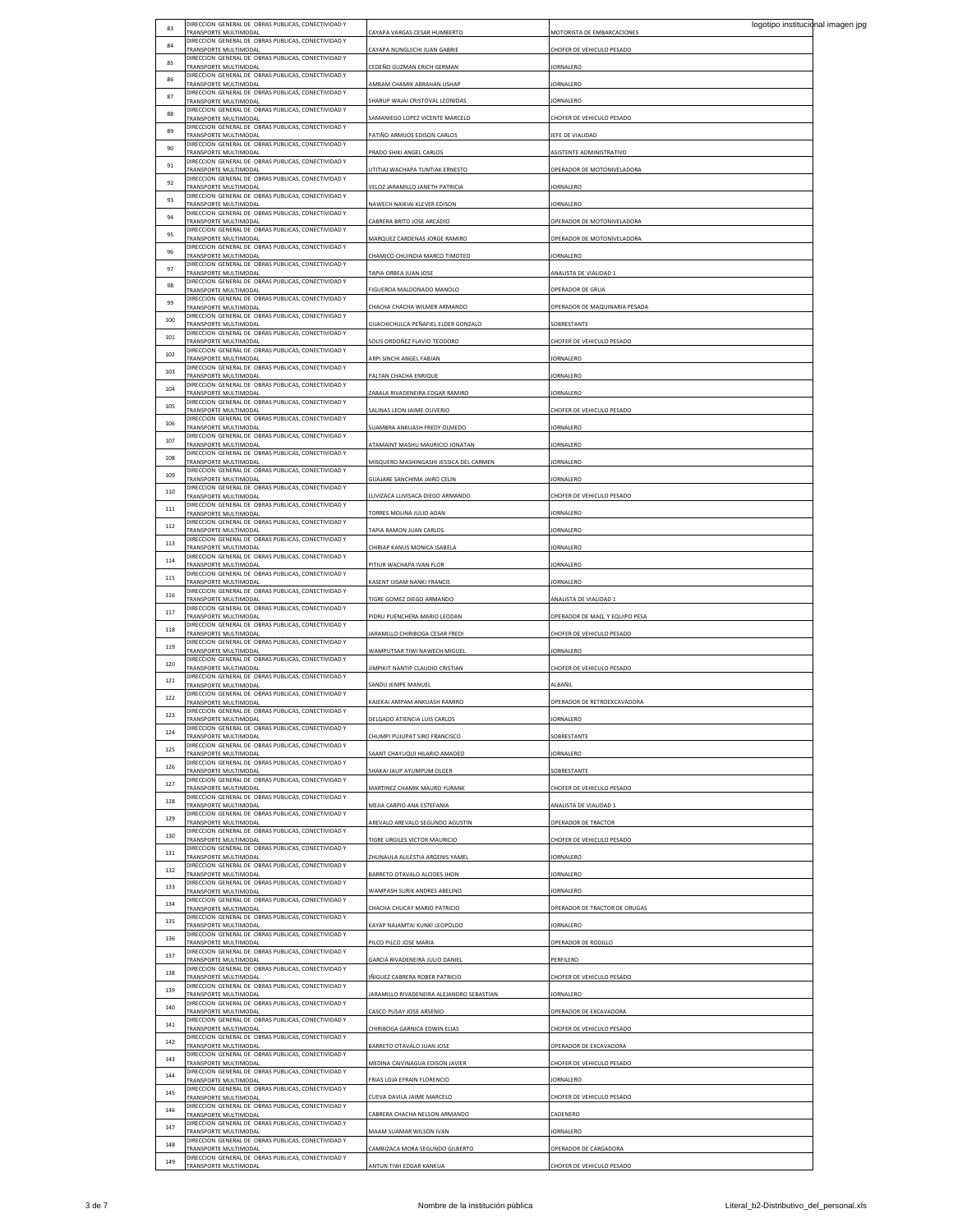| 83  | DIRECCION GENERAL DE OBRAS PUBLICAS, CONECTIVIDAD Y                                 |                                           | logotipo institucional imagen jpg |  |
|-----|-------------------------------------------------------------------------------------|-------------------------------------------|-----------------------------------|--|
| 84  | TRANSPORTE MULTIMODAL<br>DIRECCION GENERAL DE OBRAS PUBLICAS, CONECTIVIDAD Y        | CAYAPA VARGAS CESAR HUMBERTO              | MOTORISTA DE EMBARCACIONES        |  |
|     | TRANSPORTE MULTIMODAL<br>DIRECCION GENERAL DE OBRAS PUBLICAS, CONECTIVIDAD Y        | CAYAPA NUNGUICHI JUAN GABRIE              | HOFER DE VEHICULO PESADO          |  |
| 85  | TRANSPORTE MULTIMODAL<br>DIRECCION GENERAL DE OBRAS PUBLICAS, CONECTIVIDAD Y        | CEDEÑO GUZMAN ERICH GERMAN                | ORNALERO                          |  |
| 86  | TRANSPORTE MULTIMODAL                                                               | MBAM CHAMIK ABRAHAN USHAP                 | ORNALERO                          |  |
| 87  | DIRECCION GENERAL DE OBRAS PUBLICAS, CONECTIVIDAD Y<br>TRANSPORTE MULTIMODAL        | SHARUP WAJAI CRISTOVAL LEONIDAS           | <b>IORNALERO</b>                  |  |
| 88  | DIRECCION GENERAL DE OBRAS PUBLICAS, CONECTIVIDAD Y<br>TRANSPORTE MULTIMODAL        | AMANIEGO LOPEZ VICENTE MARCELO            | HOFER DE VEHICULO PESADO          |  |
| 89  | DIRECCION GENERAL DE OBRAS PUBLICAS, CONECTIVIDAD Y                                 |                                           |                                   |  |
| 90  | TRANSPORTE MULTIMODAL<br>DIRECCION GENERAL DE OBRAS PUBLICAS, CONECTIVIDAD Y        | PATIÑO ARMIJOS EDISON CARLOS              | EFE DE VIALIDAD                   |  |
|     | TRANSPORTE MULTIMODAL<br>DIRECCION GENERAL DE OBRAS PUBLICAS, CONECTIVIDAD Y        | PRADO SHIKI ANGEL CARLOS                  | ASISTENTE ADMINISTRATIVO          |  |
| 91  | TRANSPORTE MULTIMODAL                                                               | UTITIAJ WACHAPA TUNTIAK ERNESTO           | OPERADOR DE MOTONIVELADORA        |  |
| 92  | DIRECCION GENERAL DE OBRAS PUBLICAS, CONECTIVIDAD Y<br>TRANSPORTE MULTIMODAL        | VELOZ JARAMILLO JANETH PATRICIA           | ORNALERO                          |  |
| 93  | DIRECCION GENERAL DE OBRAS PUBLICAS, CONECTIVIDAD Y<br>TRANSPORTE MULTIMODAL        | NAWECH NAIKIAI KLEVER EDISON              | <b>JORNALERO</b>                  |  |
| 94  | DIRECCION GENERAL DE OBRAS PUBLICAS, CONECTIVIDAD Y<br>TRANSPORTE MULTIMODAL        | CABRERA BRITO JOSE ARCADIO                | OPERADOR DE MOTONIVELADORA        |  |
| 95  | DIRECCION GENERAL DE OBRAS PUBLICAS, CONECTIVIDAD Y                                 |                                           |                                   |  |
| 96  | TRANSPORTE MULTIMODAL<br>DIRECCION GENERAL DE OBRAS PUBLICAS, CONECTIVIDAD Y        | MARQUEZ CARDENAS JORGE RAMIRO             | OPERADOR DE MOTONIVELADORA        |  |
|     | TRANSPORTE MULTIMODAL<br>DIRECCION GENERAL DE OBRAS PUBLICAS, CONECTIVIDAD Y        | CHAMICO CHUINDIA MARCO TIMOTEO            | <b>IORNALERO</b>                  |  |
| 97  | TRANSPORTE MULTIMODAL<br>DIRECCION GENERAL DE OBRAS PUBLICAS, CONECTIVIDAD Y        | TAPIA ORBEA JUAN JOSE                     | MALISTA DE VIALIDAD 1             |  |
| 98  | <b>FRANSPORTE MULTIMODAL</b>                                                        | IGUEROA MALDONADO MANOLO                  | OPERADOR DE GRUA                  |  |
| 99  | DIRECCION GENERAL DE OBRAS PUBLICAS, CONECTIVIDAD Y<br>TRANSPORTE MULTIMODAL        | CHACHA CHACHA WILMER ARMANDO              | OPERADOR DE MAQUINARIA PESADA     |  |
| 100 | DIRECCION GENERAL DE OBRAS PUBLICAS, CONECTIVIDAD Y<br>TRANSPORTE MULTIMODAL        | GUACHICHULCA PEÑAFIEL ELDER GONZALO       | OBRESTANTE                        |  |
| 101 | DIRECCION GENERAL DE OBRAS PUBLICAS, CONECTIVIDAD Y                                 |                                           |                                   |  |
| 102 | TRANSPORTE MULTIMODAL<br>DIRECCION GENERAL DE OBRAS PUBLICAS, CONECTIVIDAD Y        | SOLIS ORDOÑEZ FLAVIO TEODORO              | HOFER DE VEHICULO PESADO          |  |
|     | TRANSPORTE MULTIMODAL<br>DIRECCION GENERAL DE OBRAS PUBLICAS, CONECTIVIDAD Y        | ARPI SINCHI ANGEL FABIAN                  | ORNAL FRO                         |  |
| 103 | TRANSPORTE MULTIMODAL                                                               | PALTAN CHACHA ENRIQUE                     | <b>IORNALERO</b>                  |  |
| 104 | DIRECCION GENERAL DE OBRAS PUBLICAS, CONECTIVIDAD Y<br>TRANSPORTE MULTIMODAL        | ABALA RIVADENEIRA EDGAR RAMIRO            | ORNALERO                          |  |
| 105 | DIRECCION GENERAL DE OBRAS PUBLICAS, CONECTIVIDAD Y<br>TRANSPORTE MULTIMODAL        | ALINAS LEON JAIME OLIVERIO                | HOFER DE VEHICULO PESADO          |  |
| 106 | DIRECCION GENERAL DE OBRAS PUBLICAS, CONECTIVIDAD Y<br>TRANSPORTE MULTIMODAL        | SUAMBRA ANKUASH FREDY OLMEDO              | ORNALERO                          |  |
| 107 | DIRECCION GENERAL DE OBRAS PUBLICAS, CONECTIVIDAD Y                                 |                                           |                                   |  |
|     | TRANSPORTE MULTIMODAL<br>DIRECCION GENERAL DE OBRAS PUBLICAS, CONECTIVIDAD Y        | ATAMAINT MASHU MAURICIO JONATAN           | ORNALERO                          |  |
| 108 | TRANSPORTE MULTIMODAL<br>DIRECCION GENERAL DE OBRAS PUBLICAS, CONECTIVIDAD Y        | MISQUERO MASHINGASHI JESSICA DEL CARMEN   | ORNALERO                          |  |
| 109 | TRANSPORTE MULTIMODAL                                                               | GUAJARE SANCHIMA JAIRO CELIN              | <b>IORNALERO</b>                  |  |
| 110 | DIRECCION GENERAL DE OBRAS PUBLICAS, CONECTIVIDAD Y<br>TRANSPORTE MULTIMODAL        | LLIVIZACA LLIVISACA DIEGO ARMANDO         | HOFER DE VEHICULO PESADO          |  |
| 111 | DIRECCION GENERAL DE OBRAS PUBLICAS, CONECTIVIDAD Y<br>TRANSPORTE MULTIMODAL        | TORRES MOLINA JULIO ADAN                  | ORNALERO                          |  |
| 112 | DIRECCION GENERAL DE OBRAS PUBLICAS, CONECTIVIDAD Y                                 | TAPIA RAMON JUAN CARLOS                   | <b>IORNALERO</b>                  |  |
| 113 | TRANSPORTE MULTIMODAL<br>DIRECCION GENERAL DE OBRAS PUBLICAS, CONECTIVIDAD Y        |                                           |                                   |  |
|     | TRANSPORTE MULTIMODAL<br>DIRECCION GENERAL DE OBRAS PUBLICAS, CONECTIVIDAD Y        | CHIRIAP KANUS MONICA ISABELA              | ORNALERO                          |  |
| 114 | TRANSPORTE MULTIMODAL<br>DIRECCION GENERAL DE OBRAS PUBLICAS, CONECTIVIDAD Y        | PITIUR WACHAPA IVAN FLOR                  | ORNALERO                          |  |
| 115 | TRANSPORTE MULTIMODAL                                                               | KASENT IJISAM NANKI FRANCIS               | ORNALERO                          |  |
| 116 | DIRECCION GENERAL DE OBRAS PUBLICAS, CONECTIVIDAD Y<br>TRANSPORTE MULTIMODAL        | TIGRE GOMEZ DIEGO ARMANDO                 | MALISTA DE VIALIDAD 1             |  |
| 117 | DIRECCION GENERAL DE OBRAS PUBLICAS, CONECTIVIDAD Y<br><b>FRANSPORTE MULTIMODAL</b> | IDRU PUENCHERA MARIO LEODAN               | OPERADOR DE MAQ. Y EQUIPO PESA    |  |
| 118 | DIRECCION GENERAL DE OBRAS PUBLICAS, CONECTIVIDAD Y                                 |                                           |                                   |  |
| 119 | TRANSPORTE MULTIMODAL<br>DIRECCION GENERAL DE OBRAS PUBLICAS, CONECTIVIDAD Y        | ARAMILLO CHIRIBOGA CESAR FREDI            | CHOFER DE VEHICULO PESADO         |  |
|     | TRANSPORTE MULTIMODAL<br>DIRECCION GENERAL DE OBRAS PUBLICAS, CONECTIVIDAD Y        | WAMPUTSAR TIWI NAWECH MIGUEL              | ORNALERO                          |  |
| 120 | TRANSPORTE MULTIMODAL<br>DIRECCION GENERAL DE OBRAS PUBLICAS, CONECTIVIDAD Y        | IMPIKIT NANTIP CLAUDIO CRISTIAN           | HOFER DE VEHICULO PESADO          |  |
| 121 | TRANSPORTE MULTIMODAL                                                               | SANDU JEMPE MANUEL                        | <b>\LBAÑIL</b>                    |  |
| 122 | DIRECCION GENERAL DE OBRAS PUBLICAS, CONECTIVIDAD Y<br>TRANSPORTE MULTIMODAL        | KAJEKAI AMPAM ANKUASH RAMIRO              | OPERADOR DE RETROEXCAVADORA       |  |
| 123 | DIRECCION GENERAL DE OBRAS PUBLICAS, CONECTIVIDAD Y                                 |                                           |                                   |  |
| 124 | DIRECCION GENERAL DE OBRAS PUBLICAS, CONECTIVIDAD Y                                 |                                           |                                   |  |
|     | TRANSPORTE MULTIMODAL<br>DIRECCION GENERAL DE OBRAS PUBLICAS, CONECTIVIDAD Y        | CHUMPI PUJUPAT SIRO FRANCISCO             | OBRESTANTE                        |  |
| 125 | TRANSPORTE MULTIMODAL<br>DIRECCION GENERAL DE OBRAS PUBLICAS, CONECTIVIDAD Y        | SAANT CHAYUQUI HILARIO AMADEO             | ORNALERO                          |  |
| 126 | TRANSPORTE MULTIMODAL                                                               | SHAKAI JAUP AYUMPUM OLGER                 | SOBRESTANTE                       |  |
| 127 | DIRECCION GENERAL DE OBRAS PUBLICAS, CONECTIVIDAD Y<br>TRANSPORTE MULTIMODAL        | MARTINEZ CHAMIK MAURO YURANK              | HOFER DE VEHICULO PESADO          |  |
| 128 | DIRECCION GENERAL DE OBRAS PUBLICAS, CONECTIVIDAD Y<br>TRANSPORTE MULTIMODAL        | MEJIA CARPIO ANA ESTEFANIA                | MALISTA DE VIALIDAD 1             |  |
| 129 | DIRECCION GENERAL DE OBRAS PUBLICAS, CONECTIVIDAD Y<br>TRANSPORTE MULTIMODAL        | AREVALO AREVALO SEGUNDO AGUSTIN           | OPERADOR DE TRACTOR               |  |
| 130 | DIRECCION GENERAL DE OBRAS PUBLICAS, CONECTIVIDAD Y                                 |                                           |                                   |  |
|     | TRANSPORTE MULTIMODAL<br>DIRECCION GENERAL DE OBRAS PUBLICAS, CONECTIVIDAD Y        | TIGRE URGILES VICTOR MAURICIO             | CHOFER DE VEHICULO PESADO         |  |
| 131 | TRANSPORTE MULTIMODAL<br>DIRECCION GENERAL DE OBRAS PUBLICAS, CONECTIVIDAD Y        | ZHUNAULA AULESTIA ARGENIS YAMEL           | <b>IORNALERO</b>                  |  |
| 132 | TRANSPORTE MULTIMODAL                                                               | BARRETO OTAVALO ALCIDES JHON              | ORNALERO                          |  |
| 133 | DIRECCION GENERAL DE OBRAS PUBLICAS, CONECTIVIDAD Y<br>TRANSPORTE MULTIMODAL        | WAMPASH SURIK ANDRES ABELINO              | ORNALERO                          |  |
| 134 | DIRECCION GENERAL DE OBRAS PUBLICAS, CONECTIVIDAD Y<br>TRANSPORTE MULTIMODAL        | CHACHA CHUCAY MARIO PATRICIO              | OPERADOR DE TRACTOR DE ORUGAS     |  |
| 135 | DIRECCION GENERAL DE OBRAS PUBLICAS, CONECTIVIDAD Y                                 |                                           |                                   |  |
| 136 | TRANSPORTE MULTIMODAL<br>DIRECCION GENERAL DE OBRAS PUBLICAS, CONECTIVIDAD Y        | KAYAP NAJAMTAI KUNKI LEOPOLDO             | ORNALERO                          |  |
|     | TRANSPORTE MULTIMODAL<br>DIRECCION GENERAL DE OBRAS PUBLICAS, CONECTIVIDAD Y        | PILCO PILCO JOSE MARIA                    | OPERADOR DE RODILLO               |  |
| 137 | TRANSPORTE MULTIMODAL<br>DIRECCION GENERAL DE OBRAS PUBLICAS, CONECTIVIDAD Y        | GARCIA RIVADENEIRA JULIO DANIEL           | <b>ERFILERO</b>                   |  |
| 138 | TRANSPORTE MULTIMODAL                                                               | ÑIGUEZ CABRERA ROBER PATRICIO             | HOFER DE VEHICULO PESADO          |  |
| 139 | DIRECCION GENERAL DE OBRAS PUBLICAS, CONECTIVIDAD Y<br>TRANSPORTE MULTIMODAL        | IARAMILLO RIVADENEIRA ALEJANDRO SEBASTIAN | <b>IORNALERO</b>                  |  |
| 140 | DIRECCION GENERAL DE OBRAS PUBLICAS, CONECTIVIDAD Y<br>TRANSPORTE MULTIMODAL        | CASCO PUSAY JOSE ARSENIO                  | OPERADOR DE EXCAVADORA            |  |
| 141 | DIRECCION GENERAL DE OBRAS PUBLICAS, CONECTIVIDAD Y                                 |                                           |                                   |  |
|     | TRANSPORTE MULTIMODAL<br>DIRECCION GENERAL DE OBRAS PUBLICAS, CONECTIVIDAD Y        | CHIRIBOGA GARNICA EDWIN ELIAS             | CHOFER DE VEHICULO PESADO         |  |
| 142 | <b>FRANSPORTE MULTIMODAL</b><br>DIRECCION GENERAL DE OBRAS PUBLICAS, CONECTIVIDAD Y | BARRETO OTAVALO JUAN JOSE                 | OPERADOR DE EXCAVADORA            |  |
| 143 | TRANSPORTE MULTIMODAL                                                               | MEDINA CAIVINAGUA EDISON JAVIER           | CHOFER DE VEHICULO PESADO         |  |
| 144 | DIRECCION GENERAL DE OBRAS PUBLICAS, CONECTIVIDAD Y<br>TRANSPORTE MULTIMODAL        | FRIAS LOJA EFRAIN FLORENCIO               | ORNALERO                          |  |
| 145 | DIRECCION GENERAL DE OBRAS PUBLICAS, CONECTIVIDAD Y<br>TRANSPORTE MULTIMODAL        | CUEVA DAVILA JAIME MARCELO                | HOFER DE VEHICULO PESADO          |  |
| 146 | DIRECCION GENERAL DE OBRAS PUBLICAS, CONECTIVIDAD Y                                 |                                           |                                   |  |
| 147 | TRANSPORTE MULTIMODAL<br>DIRECCION GENERAL DE OBRAS PUBLICAS, CONECTIVIDAD Y        | CABRERA CHACHA NELSON ARMANDO             | ADENERO                           |  |
|     | TRANSPORTE MULTIMODAL<br>DIRECCION GENERAL DE OBRAS PUBLICAS, CONECTIVIDAD Y        | MAAM SUAMAR WILSON IVAN                   | ORNALERO                          |  |
| 148 | TRANSPORTE MULTIMODAL                                                               | CAMBIZACA MORA SEGUNDO GILBERTO           | OPERADOR DE CARGADORA             |  |
| 149 | DIRECCION GENERAL DE OBRAS PUBLICAS, CONECTIVIDAD Y<br><b>FRANSPORTE MULTIMODAL</b> | ANTUN TIWI EDGAR KANKUA                   | CHOFER DE VEHICULO PESADO         |  |
|     |                                                                                     |                                           |                                   |  |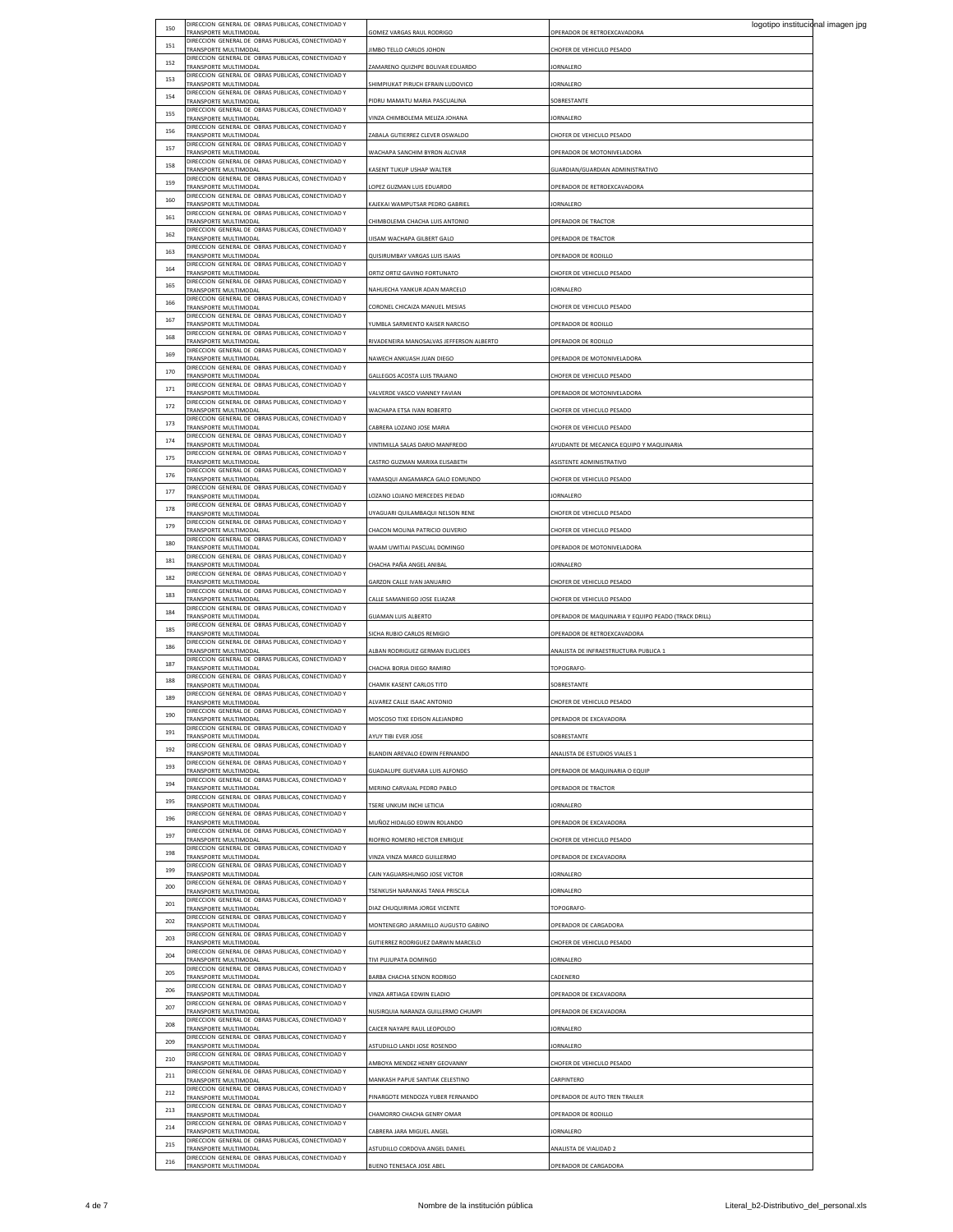| 150 | DIRECCION GENERAL DE OBRAS PUBLICAS, CONECTIVIDAD Y<br>TRANSPORTE MULTIMODAL        | GOMEZ VARGAS RAUL RODRIGO                 | logotipo institucional imagen jpg<br>OPERADOR DE RETROEXCAVADORA |  |
|-----|-------------------------------------------------------------------------------------|-------------------------------------------|------------------------------------------------------------------|--|
| 151 | DIRECCION GENERAL DE OBRAS PUBLICAS, CONECTIVIDAD Y                                 |                                           |                                                                  |  |
| 152 | TRANSPORTE MULTIMODAL<br>DIRECCION GENERAL DE OBRAS PUBLICAS, CONECTIVIDAD Y        | IIMBO TELLO CARLOS JOHON                  | HOFER DE VEHICULO PESADO                                         |  |
|     | TRANSPORTE MULTIMODAL<br>DIRECCION GENERAL DE OBRAS PUBLICAS, CONECTIVIDAD Y        | AMARENO QUIZHPE BOLIVAR EDUARDO           | <b>IORNALERO</b>                                                 |  |
| 153 | TRANSPORTE MULTIMODAL                                                               | HIMPIUKAT PIRUCH EFRAIN LUDOVICO          | ORNALERO                                                         |  |
| 154 | DIRECCION GENERAL DE OBRAS PUBLICAS, CONECTIVIDAD Y<br>TRANSPORTE MULTIMODAL        | PIDRU MAMATU MARIA PASCUALINA             | <b>SOBRESTANTE</b>                                               |  |
| 155 | DIRECCION GENERAL DE OBRAS PUBLICAS, CONECTIVIDAD Y<br>TRANSPORTE MULTIMODAL        | VINZA CHIMBOLEMA MELIZA JOHANA            | ORNALERO                                                         |  |
| 156 | DIRECCION GENERAL DE OBRAS PUBLICAS, CONECTIVIDAD Y<br>TRANSPORTE MULTIMODAL        | ABALA GUTIERREZ CLEVER OSWALDO            |                                                                  |  |
| 157 | DIRECCION GENERAL DE OBRAS PUBLICAS, CONECTIVIDAD Y                                 |                                           | <b><i>CHOFER DE VEHICULO PESADO</i></b>                          |  |
|     | TRANSPORTE MULTIMODAL<br>DIRECCION GENERAL DE OBRAS PUBLICAS, CONECTIVIDAD Y        | WACHAPA SANCHIM BYRON ALCIVAR             | OPERADOR DE MOTONIVELADORA                                       |  |
| 158 | TRANSPORTE MULTIMODAL<br>DIRECCION GENERAL DE OBRAS PUBLICAS, CONECTIVIDAD Y        | KASENT TUKUP USHAP WALTER                 | SUARDIAN/GUARDIAN ADMINISTRATIVO                                 |  |
| 159 | <b>TRANSPORTE MULTIMODAL</b>                                                        | LOPEZ GUZMAN LUIS EDUARDO                 | OPERADOR DE RETROEXCAVADORA                                      |  |
| 160 | DIRECCION GENERAL DE OBRAS PUBLICAS, CONECTIVIDAD Y<br>TRANSPORTE MULTIMODAL        | KAJEKAI WAMPUTSAR PEDRO GABRIEL           | <b>IORNALERO</b>                                                 |  |
| 161 | DIRECCION GENERAL DE OBRAS PUBLICAS, CONECTIVIDAD Y<br>TRANSPORTE MULTIMODAL        | CHIMBOLEMA CHACHA LUIS ANTONIO            | OPERADOR DE TRACTOR                                              |  |
| 162 | DIRECCION GENERAL DE OBRAS PUBLICAS, CONECTIVIDAD Y                                 |                                           |                                                                  |  |
| 163 | TRANSPORTE MULTIMODAL<br>DIRECCION GENERAL DE OBRAS PUBLICAS, CONECTIVIDAD Y        | JISAM WACHAPA GILBERT GALO                | OPERADOR DE TRACTOR                                              |  |
|     | TRANSPORTE MULTIMODAL<br>DIRECCION GENERAL DE OBRAS PUBLICAS, CONECTIVIDAD Y        | QUISIRUMBAY VARGAS LUIS ISAIAS            | OPERADOR DE RODILLO                                              |  |
| 164 | TRANSPORTE MULTIMODAL                                                               | ORTIZ ORTIZ GAVINO FORTUNATO              | HOFER DE VEHICULO PESADO                                         |  |
| 165 | DIRECCION GENERAL DE OBRAS PUBLICAS, CONECTIVIDAD Y<br>TRANSPORTE MULTIMODAL        | <b>NAHUECHA YANKUR ADAN MARCELO</b>       | ORNALERO                                                         |  |
| 166 | DIRECCION GENERAL DE OBRAS PUBLICAS, CONECTIVIDAD Y<br>TRANSPORTE MULTIMODAL        | CORONEL CHICAIZA MANUEL MESIAS            | CHOFER DE VEHICULO PESADO                                        |  |
| 167 | DIRECCION GENERAL DE OBRAS PUBLICAS, CONECTIVIDAD Y<br>TRANSPORTE MULTIMODAL        | <b>YUMBLA SARMIENTO KAISER NARCISO</b>    | OPERADOR DE RODILLO                                              |  |
| 168 | DIRECCION GENERAL DE OBRAS PUBLICAS, CONECTIVIDAD Y                                 |                                           |                                                                  |  |
|     | <b>TRANSPORTE MULTIMODAL</b><br>DIRECCION GENERAL DE OBRAS PUBLICAS, CONECTIVIDAD Y | RIVADENEIRA MANOSALVAS JEFFERSON ALBERTO  | OPERADOR DE RODILLO                                              |  |
| 169 | TRANSPORTE MULTIMODAL<br>DIRECCION GENERAL DE OBRAS PUBLICAS, CONECTIVIDAD Y        | NAWECH ANKUASH JUAN DIEGO                 | OPERADOR DE MOTONIVELADORA                                       |  |
| 170 | TRANSPORTE MULTIMODAL                                                               | GALLEGOS ACOSTA LUIS TRAJANO              | CHOFER DE VEHICULO PESADO                                        |  |
| 171 | DIRECCION GENERAL DE OBRAS PUBLICAS, CONECTIVIDAD Y<br><b>FRANSPORTE MULTIMODAL</b> | VALVERDE VASCO VIANNEY FAVIAN             | OPERADOR DE MOTONIVELADORA                                       |  |
| 172 | DIRECCION GENERAL DE OBRAS PUBLICAS, CONECTIVIDAD Y<br>TRANSPORTE MULTIMODAL        | WACHAPA ETSA IVAN ROBERTO                 | CHOFER DE VEHICULO PESADO                                        |  |
| 173 | DIRECCION GENERAL DE OBRAS PUBLICAS, CONECTIVIDAD Y                                 |                                           |                                                                  |  |
| 174 | TRANSPORTE MULTIMODAL<br>DIRECCION GENERAL DE OBRAS PUBLICAS, CONECTIVIDAD Y        | CABRERA LOZANO JOSE MARIA                 | HOFER DE VEHICULO PESADO                                         |  |
|     | TRANSPORTE MULTIMODAL<br>DIRECCION GENERAL DE OBRAS PUBLICAS, CONECTIVIDAD Y        | VINTIMILLA SALAS DARIO MANFREDO           | YUDANTE DE MECANICA EQUIPO Y MAQUINARIA                          |  |
| 175 | TRANSPORTE MULTIMODAL<br>DIRECCION GENERAL DE OBRAS PUBLICAS, CONECTIVIDAD Y        | CASTRO GUZMAN MARIXA ELISABETH            | ASISTENTE ADMINISTRATIVO                                         |  |
| 176 | TRANSPORTE MULTIMODAL                                                               | YAMASQUI ANGAMARCA GALO EDMUNDO           | <b>CHOFER DE VEHICULO PESADO</b>                                 |  |
| 177 | DIRECCION GENERAL DE OBRAS PUBLICAS, CONECTIVIDAD Y<br>TRANSPORTE MULTIMODAL        | LOZANO LOJANO MERCEDES PIEDAD             | ORNALERO                                                         |  |
| 178 | DIRECCION GENERAL DE OBRAS PUBLICAS, CONECTIVIDAD Y<br>TRANSPORTE MULTIMODAL        | JYAGUARI QUILAMBAQUI NELSON RENE          | HOFER DE VEHICULO PESADO                                         |  |
| 179 | DIRECCION GENERAL DE OBRAS PUBLICAS, CONECTIVIDAD Y                                 |                                           |                                                                  |  |
| 180 | TRANSPORTE MULTIMODAL<br>DIRECCION GENERAL DE OBRAS PUBLICAS, CONECTIVIDAD Y        | CHACON MOLINA PATRICIO OLIVERIO           | CHOFER DE VEHICULO PESADO                                        |  |
|     | TRANSPORTE MULTIMODAL<br>DIRECCION GENERAL DE OBRAS PUBLICAS, CONECTIVIDAD Y        | WAAM UWITIAI PASCUAL DOMINGO              | OPERADOR DE MOTONIVELADORA                                       |  |
| 181 | TRANSPORTE MULTIMODAL<br>DIRECCION GENERAL DE OBRAS PUBLICAS, CONECTIVIDAD Y        | CHACHA PAÑA ANGEL ANIBAL                  | ORNALERO                                                         |  |
| 182 | TRANSPORTE MULTIMODAL                                                               | GARZON CALLE IVAN JANUARIO                | CHOFER DE VEHICULO PESADO                                        |  |
| 183 | DIRECCION GENERAL DE OBRAS PUBLICAS, CONECTIVIDAD Y<br>TRANSPORTE MULTIMODAL        | CALLE SAMANIEGO JOSE ELIAZAR              | HOFER DE VEHICULO PESADO                                         |  |
| 184 | DIRECCION GENERAL DE OBRAS PUBLICAS, CONECTIVIDAD Y                                 |                                           |                                                                  |  |
| 185 | TRANSPORTE MULTIMODAL<br>DIRECCION GENERAL DE OBRAS PUBLICAS, CONECTIVIDAD Y        | <b>SUAMAN LUIS ALBERTO</b>                | (TRACK DE MAQUINARIA Y EQUIPO PEADO (TRACK DRILL)                |  |
|     | TRANSPORTE MULTIMODAL<br>DIRECCION GENERAL DE OBRAS PUBLICAS, CONECTIVIDAD Y        | SICHA RUBIO CARLOS REMIGIO                | OPERADOR DE RETROEXCAVADORA                                      |  |
| 186 | TRANSPORTE MULTIMODAL<br>DIRECCION GENERAL DE OBRAS PUBLICAS, CONECTIVIDAD Y        | ALBAN RODRIGUEZ GERMAN EUCLIDES           | ANALISTA DE INFRAESTRUCTURA PUBLICA 1                            |  |
| 187 | TRANSPORTE MULTIMODAL                                                               | CHACHA BORJA DIEGO RAMIRO                 | TOPOGRAFO-                                                       |  |
| 188 | DIRECCION GENERAL DE OBRAS PUBLICAS, CONECTIVIDAD Y<br>TRANSPORTE MULTIMODAL        | CHAMIK KASENT CARLOS TITO                 | SOBRESTANTE                                                      |  |
| 189 | DIRECCION GENERAL DE OBRAS PUBLICAS, CONECTIVIDAD Y<br>TRANSPORTE MULTIMODAL        | ALVAREZ CALLE ISAAC ANTONIO               | HOFER DE VEHICULO PESADO                                         |  |
| 190 | DIRECCION GENERAL DE OBRAS PUBLICAS, CONECTIVIDAD Y<br><b>DANCDODTE MULTIMODA</b>   | MOSCOSO TIXE EDISON ALEIANDRO             |                                                                  |  |
| 191 | DIRECCION GENERAL DE OBRAS PUBLICAS, CONECTIVIDAD Y                                 |                                           |                                                                  |  |
|     | TRANSPORTE MULTIMODAL<br>DIRECCION GENERAL DE OBRAS PUBLICAS, CONECTIVIDAD Y        | AYUY TIBI EVER JOSE                       | <b>SOBRESTANTE</b>                                               |  |
| 192 | TRANSPORTE MULTIMODAL<br>DIRECCION GENERAL DE OBRAS PUBLICAS, CONECTIVIDAD Y        | BLANDIN AREVALO EDWIN FERNANDO            | ANALISTA DE ESTUDIOS VIALES 1                                    |  |
| 193 | TRANSPORTE MULTIMODAL                                                               | <b>GUADALUPE GUEVARA LUIS ALFONSO</b>     | OPERADOR DE MAQUINARIA O EQUIP                                   |  |
| 194 | DIRECCION GENERAL DE OBRAS PUBLICAS, CONECTIVIDAD Y<br>TRANSPORTE MULTIMODAL        | MERINO CARVAJAL PEDRO PABLO               | OPERADOR DE TRACTOR                                              |  |
| 195 | DIRECCION GENERAL DE OBRAS PUBLICAS, CONECTIVIDAD Y<br>TRANSPORTE MULTIMODAL        | TSERE UNKUM INCHI LETICIA                 | ORNALERO                                                         |  |
| 196 | DIRECCION GENERAL DE OBRAS PUBLICAS, CONECTIVIDAD Y                                 |                                           |                                                                  |  |
| 197 | <b>FRANSPORTE MULTIMODAL</b><br>DIRECCION GENERAL DE OBRAS PUBLICAS, CONECTIVIDAD Y | MUÑOZ HIDALGO EDWIN ROLANDO               | OPERADOR DE EXCAVADORA                                           |  |
|     | TRANSPORTE MULTIMODAL<br>DIRECCION GENERAL DE OBRAS PUBLICAS, CONECTIVIDAD Y        | RIOFRIO ROMERO HECTOR ENRIQUE             | CHOFER DE VEHICULO PESADO                                        |  |
| 198 | TRANSPORTE MULTIMODAL<br>DIRECCION GENERAL DE OBRAS PUBLICAS, CONECTIVIDAD Y        | VINZA VINZA MARCO GUILLERMO               | OPERADOR DE EXCAVADORA                                           |  |
| 199 | TRANSPORTE MULTIMODAL                                                               | CAIN YAGUARSHUNGO JOSE VICTOR             | <b>IORNALERO</b>                                                 |  |
| 200 | DIRECCION GENERAL DE OBRAS PUBLICAS, CONECTIVIDAD Y<br>TRANSPORTE MULTIMODAL        | TSENKUSH NARANKAS TANIA PRISCILA          | ORNALERO                                                         |  |
| 201 | DIRECCION GENERAL DE OBRAS PUBLICAS, CONECTIVIDAD Y<br><b>TRANSPORTE MULTIMODAL</b> | DIAZ CHUQUIRIMA JORGE VICENTE             | TOPOGRAFO-                                                       |  |
| 202 | DIRECCION GENERAL DE OBRAS PUBLICAS, CONECTIVIDAD Y                                 |                                           |                                                                  |  |
| 203 | TRANSPORTE MULTIMODAL<br>DIRECCION GENERAL DE OBRAS PUBLICAS, CONECTIVIDAD Y        | MONTENEGRO JARAMILLO AUGUSTO GABINO       | OPERADOR DE CARGADORA                                            |  |
|     | TRANSPORTE MULTIMODAL<br>DIRECCION GENERAL DE OBRAS PUBLICAS, CONECTIVIDAD Y        | <b>GUTIERREZ RODRIGUEZ DARWIN MARCELO</b> | HOFER DE VEHICULO PESADO                                         |  |
| 204 | TRANSPORTE MULTIMODAL                                                               | TIVI PUJUPATA DOMINGO                     | <b>IORNALERO</b>                                                 |  |
| 205 | DIRECCION GENERAL DE OBRAS PUBLICAS, CONECTIVIDAD Y<br>TRANSPORTE MULTIMODAL        | BARBA CHACHA SENON RODRIGO                | ADENERO                                                          |  |
| 206 | DIRECCION GENERAL DE OBRAS PUBLICAS, CONECTIVIDAD Y<br>TRANSPORTE MULTIMODAL        | VINZA ARTIAGA EDWIN ELADIO                | OPERADOR DE EXCAVADORA                                           |  |
| 207 | DIRECCION GENERAL DE OBRAS PUBLICAS, CONECTIVIDAD Y                                 |                                           |                                                                  |  |
| 208 | TRANSPORTE MULTIMODAL<br>DIRECCION GENERAL DE OBRAS PUBLICAS, CONECTIVIDAD Y        | NUSIRQUIA NARANZA GUILLERMO CHUMPI        | OPERADOR DE EXCAVADORA                                           |  |
|     | TRANSPORTE MULTIMODAL<br>DIRECCION GENERAL DE OBRAS PUBLICAS, CONECTIVIDAD Y        | CAICER NAYAPE RAUL LEOPOLDO               | ORNALERO                                                         |  |
| 209 | TRANSPORTE MULTIMODAL                                                               | <b>ASTUDILLO LANDI JOSE ROSENDO</b>       | ORNALERO                                                         |  |
| 210 | DIRECCION GENERAL DE OBRAS PUBLICAS, CONECTIVIDAD Y<br>TRANSPORTE MULTIMODAL        | AMBOYA MENDEZ HENRY GEOVANNY              | CHOFER DE VEHICULO PESADO                                        |  |
| 211 | DIRECCION GENERAL DE OBRAS PUBLICAS, CONECTIVIDAD Y<br>TRANSPORTE MULTIMODAL        | MANKASH PAPUE SANTIAK CELESTINO           | <b>ARPINTERO</b>                                                 |  |
| 212 | DIRECCION GENERAL DE OBRAS PUBLICAS, CONECTIVIDAD Y                                 |                                           |                                                                  |  |
| 213 | TRANSPORTE MULTIMODAL<br>DIRECCION GENERAL DE OBRAS PUBLICAS, CONECTIVIDAD Y        | PINARGOTE MENDOZA YUBER FERNANDO          | OPERADOR DE AUTO TREN TRAILER                                    |  |
|     | TRANSPORTE MULTIMODAL<br>DIRECCION GENERAL DE OBRAS PUBLICAS, CONECTIVIDAD Y        | CHAMORRO CHACHA GENRY OMAR                | OPERADOR DE RODILLO                                              |  |
| 214 | TRANSPORTE MULTIMODAL                                                               | CABRERA JARA MIGUEL ANGEL                 | ORNALERO                                                         |  |
| 215 | DIRECCION GENERAL DE OBRAS PUBLICAS, CONECTIVIDAD Y<br><b>FRANSPORTE MULTIMODAL</b> | ASTUDILLO CORDOVA ANGEL DANIEL            | ANALISTA DE VIALIDAD 2                                           |  |
| 216 | DIRECCION GENERAL DE OBRAS PUBLICAS, CONECTIVIDAD Y<br>TRANSPORTE MULTIMODAL        | BUENO TENESACA JOSE ABEL                  | OPERADOR DE CARGADORA                                            |  |
|     |                                                                                     |                                           |                                                                  |  |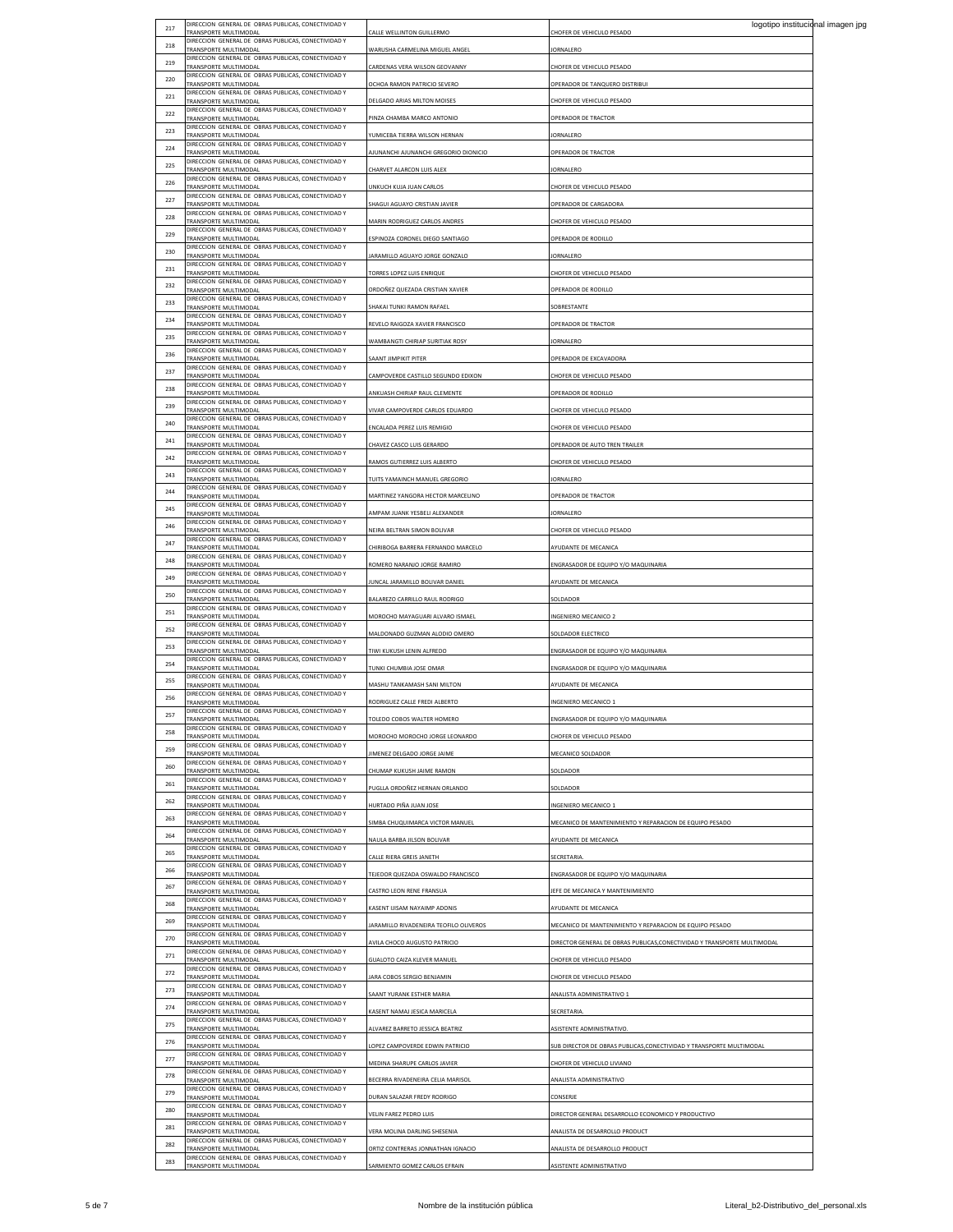| 217 | DIRECCION GENERAL DE OBRAS PUBLICAS, CONECTIVIDAD Y                          |                                        | logotipo institucional imagen jpg                                        |  |
|-----|------------------------------------------------------------------------------|----------------------------------------|--------------------------------------------------------------------------|--|
| 218 | TRANSPORTE MULTIMODAL<br>DIRECCION GENERAL DE OBRAS PUBLICAS, CONECTIVIDAD Y | CALLE WELLINTON GUILLERMO              | CHOFER DE VEHICULO PESADO                                                |  |
|     | TRANSPORTE MULTIMODAL<br>DIRECCION GENERAL DE OBRAS PUBLICAS, CONECTIVIDAD Y | WARUSHA CARMELINA MIGUEL ANGEL         | JORNALERO                                                                |  |
| 219 | TRANSPORTE MULTIMODAL<br>DIRECCION GENERAL DE OBRAS PUBLICAS, CONECTIVIDAD Y | CARDENAS VERA WILSON GEOVANNY          | CHOFER DE VEHICULO PESADO                                                |  |
| 220 | TRANSPORTE MULTIMODAL                                                        | OCHOA RAMON PATRICIO SEVERO            | OPERADOR DE TANQUERO DISTRIBUI                                           |  |
| 221 | DIRECCION GENERAL DE OBRAS PUBLICAS, CONECTIVIDAD Y<br>TRANSPORTE MULTIMODAL | DELGADO ARIAS MILTON MOISES            | CHOFER DE VEHICULO PESADO                                                |  |
| 222 | DIRECCION GENERAL DE OBRAS PUBLICAS, CONECTIVIDAD Y<br>TRANSPORTE MULTIMODAL | PINZA CHAMBA MARCO ANTONIO             | OPERADOR DE TRACTOR                                                      |  |
| 223 | DIRECCION GENERAL DE OBRAS PUBLICAS, CONECTIVIDAD Y                          |                                        |                                                                          |  |
|     | TRANSPORTE MULTIMODAL<br>DIRECCION GENERAL DE OBRAS PUBLICAS, CONECTIVIDAD Y | YUMICEBA TIERRA WILSON HERNAN          | <b>IORNALERC</b>                                                         |  |
| 224 | TRANSPORTE MULTIMODAL<br>DIRECCION GENERAL DE OBRAS PUBLICAS, CONECTIVIDAD Y | AJUNANCHI AJUNANCHI GREGORIO DIONICIO  | OPERADOR DE TRACTOR                                                      |  |
| 225 | TRANSPORTE MULTIMODAL                                                        | CHARVET ALARCON LUIS ALEX              | <b>JORNALERO</b>                                                         |  |
| 226 | DIRECCION GENERAL DE OBRAS PUBLICAS, CONECTIVIDAD Y<br>TRANSPORTE MULTIMODAL | UNKUCH KUJA JUAN CARLOS                | CHOFER DE VEHICULO PESADO                                                |  |
| 227 | DIRECCION GENERAL DE OBRAS PUBLICAS, CONECTIVIDAD Y<br>TRANSPORTE MULTIMODAL | SHAGUI AGUAYO CRISTIAN JAVIER          | OPERADOR DE CARGADORA                                                    |  |
| 228 | DIRECCION GENERAL DE OBRAS PUBLICAS, CONECTIVIDAD Y                          | MARIN RODRIGUEZ CARLOS ANDRES          | CHOFER DE VEHICULO PESADO                                                |  |
| 229 | TRANSPORTE MULTIMODAL<br>DIRECCION GENERAL DE OBRAS PUBLICAS, CONECTIVIDAD Y |                                        |                                                                          |  |
|     | TRANSPORTE MULTIMODAL<br>DIRECCION GENERAL DE OBRAS PUBLICAS, CONECTIVIDAD Y | ESPINOZA CORONEL DIEGO SANTIAGO        | OPERADOR DE RODILLO                                                      |  |
| 230 | TRANSPORTE MULTIMODAL<br>DIRECCION GENERAL DE OBRAS PUBLICAS, CONECTIVIDAD Y | JARAMILLO AGUAYO JORGE GONZALO         | JORNALERO                                                                |  |
| 231 | TRANSPORTE MULTIMODAL                                                        | TORRES LOPEZ LUIS ENRIQUE              | CHOFER DE VEHICULO PESADO                                                |  |
| 232 | DIRECCION GENERAL DE OBRAS PUBLICAS, CONECTIVIDAD Y<br>TRANSPORTE MULTIMODAL | ORDOÑEZ QUEZADA CRISTIAN XAVIER        | OPERADOR DE RODILLO                                                      |  |
| 233 | DIRECCION GENERAL DE OBRAS PUBLICAS, CONECTIVIDAD Y<br>TRANSPORTE MULTIMODAL | SHAKAI TUNKI RAMON RAFAEI              | SOBRESTANTE                                                              |  |
| 234 | DIRECCION GENERAL DE OBRAS PUBLICAS, CONECTIVIDAD Y                          |                                        |                                                                          |  |
| 235 | TRANSPORTE MULTIMODAL<br>DIRECCION GENERAL DE OBRAS PUBLICAS, CONECTIVIDAD Y | REVELO RAIGOZA XAVIER FRANCISCO        | OPERADOR DE TRACTOR                                                      |  |
|     | TRANSPORTE MULTIMODAL<br>DIRECCION GENERAL DE OBRAS PUBLICAS, CONECTIVIDAD Y | WAMBANGTI CHIRIAP SURITIAK ROSY        | JORNALERO                                                                |  |
| 236 | TRANSPORTE MULTIMODAL<br>DIRECCION GENERAL DE OBRAS PUBLICAS, CONECTIVIDAD Y | <b>SAANT JIMPIKIT PITER</b>            | OPERADOR DE EXCAVADORA                                                   |  |
| 237 | TRANSPORTE MULTIMODAL                                                        | CAMPOVERDE CASTILLO SEGUNDO EDIXON     | CHOFER DE VEHICULO PESADO                                                |  |
| 238 | DIRECCION GENERAL DE OBRAS PUBLICAS, CONECTIVIDAD Y<br>TRANSPORTE MULTIMODAL | ANKUASH CHIRIAP RAUL CLEMENTE          | OPERADOR DE RODILLO                                                      |  |
| 239 | DIRECCION GENERAL DE OBRAS PUBLICAS, CONECTIVIDAD Y<br>TRANSPORTE MULTIMODAI | VIVAR CAMPOVERDE CARLOS EDUARDO        | CHOFER DE VEHICULO PESADO                                                |  |
| 240 | DIRECCION GENERAL DE OBRAS PUBLICAS, CONECTIVIDAD Y                          |                                        |                                                                          |  |
| 241 | TRANSPORTE MULTIMODAL<br>DIRECCION GENERAL DE OBRAS PUBLICAS, CONECTIVIDAD Y | ENCALADA PEREZ LUIS REMIGIO            | CHOFER DE VEHICULO PESADO                                                |  |
|     | TRANSPORTE MULTIMODAL<br>DIRECCION GENERAL DE OBRAS PUBLICAS, CONECTIVIDAD Y | CHAVEZ CASCO LUIS GERARDO              | OPERADOR DE AUTO TREN TRAILER                                            |  |
| 242 | TRANSPORTE MULTIMODAL<br>DIRECCION GENERAL DE OBRAS PUBLICAS, CONECTIVIDAD Y | RAMOS GUTIERREZ LUIS ALBERTO           | CHOFER DE VEHICULO PESADO                                                |  |
| 243 | TRANSPORTE MULTIMODAL                                                        | TUITS YAMAINCH MANUEL GREGORIO         | JORNALERO                                                                |  |
| 244 | DIRECCION GENERAL DE OBRAS PUBLICAS, CONECTIVIDAD Y<br>TRANSPORTE MULTIMODAL | MARTINEZ YANGORA HECTOR MARCELINO      | OPERADOR DE TRACTOR                                                      |  |
| 245 | DIRECCION GENERAL DE OBRAS PUBLICAS, CONECTIVIDAD Y<br>TRANSPORTE MULTIMODAI | AMPAM JUANK YESBELI ALEXANDER          | <b>IORNALERO</b>                                                         |  |
| 246 | DIRECCION GENERAL DE OBRAS PUBLICAS, CONECTIVIDAD Y                          |                                        |                                                                          |  |
| 247 | TRANSPORTE MULTIMODAL<br>DIRECCION GENERAL DE OBRAS PUBLICAS, CONECTIVIDAD Y | NEIRA BELTRAN SIMON BOLIVAR            | CHOFER DE VEHICULO PESADO                                                |  |
|     | TRANSPORTE MULTIMODAL<br>DIRECCION GENERAL DE OBRAS PUBLICAS, CONECTIVIDAD Y | CHIRIBOGA BARRERA FERNANDO MARCELO     | AYUDANTE DE MECANICA                                                     |  |
| 248 | TRANSPORTE MULTIMODAL                                                        | ROMERO NARANJO JORGE RAMIRO            | ENGRASADOR DE EQUIPO Y/O MAQUINARIA                                      |  |
| 249 | DIRECCION GENERAL DE OBRAS PUBLICAS, CONECTIVIDAD Y<br>TRANSPORTE MULTIMODAL | IUNCAL JARAMILLO BOLIVAR DANIEL        | AYUDANTE DE MECANICA                                                     |  |
| 250 | DIRECCION GENERAL DE OBRAS PUBLICAS, CONECTIVIDAD Y<br>TRANSPORTE MULTIMODAL | BALAREZO CARRILLO RAUL RODRIGO         | SOLDADOR                                                                 |  |
| 251 | DIRECCION GENERAL DE OBRAS PUBLICAS, CONECTIVIDAD Y                          |                                        |                                                                          |  |
| 252 | TRANSPORTE MULTIMODAL<br>DIRECCION GENERAL DE OBRAS PUBLICAS, CONECTIVIDAD Y | MOROCHO MAYAGUARI ALVARO ISMAEL        | <b>INGENIERO MECANICO 2</b>                                              |  |
|     | TRANSPORTE MULTIMODAL<br>DIRECCION GENERAL DE OBRAS PUBLICAS, CONECTIVIDAD Y | MALDONADO GUZMAN ALODIO OMERO          | SOLDADOR ELECTRICO                                                       |  |
| 253 | TRANSPORTE MULTIMODAL<br>DIRECCION GENERAL DE OBRAS PUBLICAS, CONECTIVIDAD Y | TIWI KUKUSH LENIN ALFREDO              | ENGRASADOR DE EQUIPO Y/O MAQUINARIA                                      |  |
| 254 | TRANSPORTE MULTIMODAL                                                        | TUNKI CHUMBIA JOSE OMAR                | ENGRASADOR DE EQUIPO Y/O MAQUINARIA                                      |  |
| 255 | DIRECCION GENERAL DE OBRAS PUBLICAS, CONECTIVIDAD Y<br>TRANSPORTE MULTIMODAL | MASHU TANKAMASH SANI MILTON            | AYUDANTE DE MECANICA                                                     |  |
| 256 | DIRECCION GENERAL DE OBRAS PUBLICAS, CONECTIVIDAD Y<br>TRANSPORTE MULTIMODAL | RODRIGUEZ CALLE FREDI ALBERTO          | INGENIERO MECANICO 1                                                     |  |
| 257 | DIRECCION GENERAL DE OBRAS PUBLICAS, CONECTIVIDAD Y                          |                                        | <b>IDO V/O MAQUIR</b>                                                    |  |
| 258 | DIRECCION GENERAL DE OBRAS PUBLICAS, CONECTIVIDAD Y                          |                                        |                                                                          |  |
|     | TRANSPORTE MULTIMODAL<br>DIRECCION GENERAL DE OBRAS PUBLICAS, CONECTIVIDAD Y | MOROCHO MOROCHO JORGE LEONARDO         | CHOFER DE VEHICULO PESADO                                                |  |
| 259 | TRANSPORTE MULTIMODAL<br>DIRECCION GENERAL DE OBRAS PUBLICAS, CONECTIVIDAD Y | JIMENEZ DELGADO JORGE JAIME            | MECANICO SOLDADOR                                                        |  |
| 260 | TRANSPORTE MULTIMODAL                                                        | CHUMAP KUKUSH JAIME RAMON              | SOLDADOR                                                                 |  |
| 261 | DIRECCION GENERAL DE OBRAS PUBLICAS, CONECTIVIDAD Y<br>TRANSPORTE MULTIMODAL | PUGLLA ORDOÑEZ HERNAN ORLANDO          | SOLDADOR                                                                 |  |
| 262 | DIRECCION GENERAL DE OBRAS PUBLICAS, CONECTIVIDAD Y<br>TRANSPORTE MULTIMODAL | HURTADO PIÑA JUAN JOSE                 | INGENIERO MECANICO 1                                                     |  |
| 263 | DIRECCION GENERAL DE OBRAS PUBLICAS, CONECTIVIDAD Y                          | SIMBA CHUQUIMARCA VICTOR MANUEL        |                                                                          |  |
| 264 | TRANSPORTE MULTIMODAL<br>DIRECCION GENERAL DE OBRAS PUBLICAS, CONECTIVIDAD Y |                                        | MECANICO DE MANTENIMIENTO Y REPARACION DE EQUIPO PESADO                  |  |
|     | TRANSPORTE MULTIMODAL<br>DIRECCION GENERAL DE OBRAS PUBLICAS, CONECTIVIDAD Y | NAULA BARBA JILSON BOLIVAR             | AYUDANTE DE MECANICA                                                     |  |
| 265 | TRANSPORTE MULTIMODAL<br>DIRECCION GENERAL DE OBRAS PUBLICAS, CONECTIVIDAD Y | CALLE RIERA GREIS JANETH               | SECRETARIA                                                               |  |
| 266 | TRANSPORTE MULTIMODAL                                                        | TEJEDOR QUEZADA OSWALDO FRANCISCO      | ENGRASADOR DE EQUIPO Y/O MAQUINARIA                                      |  |
| 267 | DIRECCION GENERAL DE OBRAS PUBLICAS, CONECTIVIDAD Y<br>TRANSPORTE MULTIMODAL | CASTRO LEON RENE FRANSUA               | JEFE DE MECANICA Y MANTENIMIENTO                                         |  |
| 268 | DIRECCION GENERAL DE OBRAS PUBLICAS, CONECTIVIDAD Y<br>TRANSPORTE MULTIMODAL | KASENT IJISAM NAYAIMP ADONIS           | AYUDANTE DE MECANICA                                                     |  |
| 269 | DIRECCION GENERAL DE OBRAS PUBLICAS, CONECTIVIDAD Y                          |                                        |                                                                          |  |
| 270 | TRANSPORTE MULTIMODAL<br>DIRECCION GENERAL DE OBRAS PUBLICAS, CONECTIVIDAD Y | JARAMILLO RIVADENEIRA TEOFILO OLIVEROS | MECANICO DE MANTENIMIENTO Y REPARACION DE EQUIPO PESADO                  |  |
|     | TRANSPORTE MULTIMODAI<br>DIRECCION GENERAL DE OBRAS PUBLICAS, CONECTIVIDAD Y | AVILA CHOCO AUGUSTO PATRICIO           | DIRECTOR GENERAL DE OBRAS PUBLICAS, CONECTIVIDAD Y TRANSPORTE MULTIMODAL |  |
| 271 | TRANSPORTE MULTIMODAL                                                        | GUALOTO CAIZA KLEVER MANUEL            | CHOFER DE VEHICULO PESADO                                                |  |
| 272 | DIRECCION GENERAL DE OBRAS PUBLICAS, CONECTIVIDAD Y<br>TRANSPORTE MULTIMODAL | JARA COBOS SERGIO BENJAMIN             | CHOFER DE VEHICULO PESADO                                                |  |
| 273 | DIRECCION GENERAL DE OBRAS PUBLICAS, CONECTIVIDAD Y<br>TRANSPORTE MULTIMODAL | SAANT YURANK ESTHER MARIA              | ANALISTA ADMINISTRATIVO 1                                                |  |
| 274 | DIRECCION GENERAL DE OBRAS PUBLICAS, CONECTIVIDAD Y<br>TRANSPORTE MULTIMODAL | KASENT NAMAJ JESICA MARICELA           | SECRETARIA.                                                              |  |
| 275 | DIRECCION GENERAL DE OBRAS PUBLICAS, CONECTIVIDAD Y                          |                                        |                                                                          |  |
|     | TRANSPORTE MULTIMODAL<br>DIRECCION GENERAL DE OBRAS PUBLICAS, CONECTIVIDAD Y | ALVAREZ BARRETO JESSICA BEATRIZ        | ASISTENTE ADMINISTRATIVO.                                                |  |
| 276 | TRANSPORTE MULTIMODAL                                                        | LOPEZ CAMPOVERDE EDWIN PATRICIO        | SUB DIRECTOR DE OBRAS PUBLICAS, CONECTIVIDAD Y TRANSPORTE MULTIMODAL     |  |
|     |                                                                              |                                        |                                                                          |  |
| 277 | DIRECCION GENERAL DE OBRAS PUBLICAS, CONECTIVIDAD Y<br>TRANSPORTE MULTIMODAL | MEDINA SHARUPE CARLOS JAVIER           | CHOFER DE VEHICULO LIVIANO                                               |  |
| 278 | DIRECCION GENERAL DE OBRAS PUBLICAS, CONECTIVIDAD Y<br>TRANSPORTE MULTIMODAL | BECERRA RIVADENEIRA CELIA MARISOL      | ANALISTA ADMINISTRATIVO                                                  |  |
| 279 | DIRECCION GENERAL DE OBRAS PUBLICAS, CONECTIVIDAD Y                          |                                        |                                                                          |  |
| 280 | TRANSPORTE MULTIMODAL<br>DIRECCION GENERAL DE OBRAS PUBLICAS, CONECTIVIDAD Y | DURAN SALAZAR FREDY RODRIGO            | CONSERJE                                                                 |  |
|     | TRANSPORTE MULTIMODAL<br>DIRECCION GENERAL DE OBRAS PUBLICAS, CONECTIVIDAD Y | VELIN FAREZ PEDRO LUIS                 | DIRECTOR GENERAL DESARROLLO ECONOMICO Y PRODUCTIVO                       |  |
| 281 | TRANSPORTE MULTIMODAL<br>DIRECCION GENERAL DE OBRAS PUBLICAS, CONECTIVIDAD Y | VERA MOLINA DARLING SHESENIA           | ANALISTA DE DESARROLLO PRODUCT                                           |  |
| 282 | TRANSPORTE MULTIMODAL                                                        | ORTIZ CONTRERAS JONNATHAN IGNACIO      | ANALISTA DE DESARROLLO PRODUCT                                           |  |
| 283 | DIRECCION GENERAL DE OBRAS PUBLICAS, CONECTIVIDAD Y<br>TRANSPORTE MULTIMODAL | SARMIENTO GOMEZ CARLOS EFRAIN          | ASISTENTE ADMINISTRATIVO                                                 |  |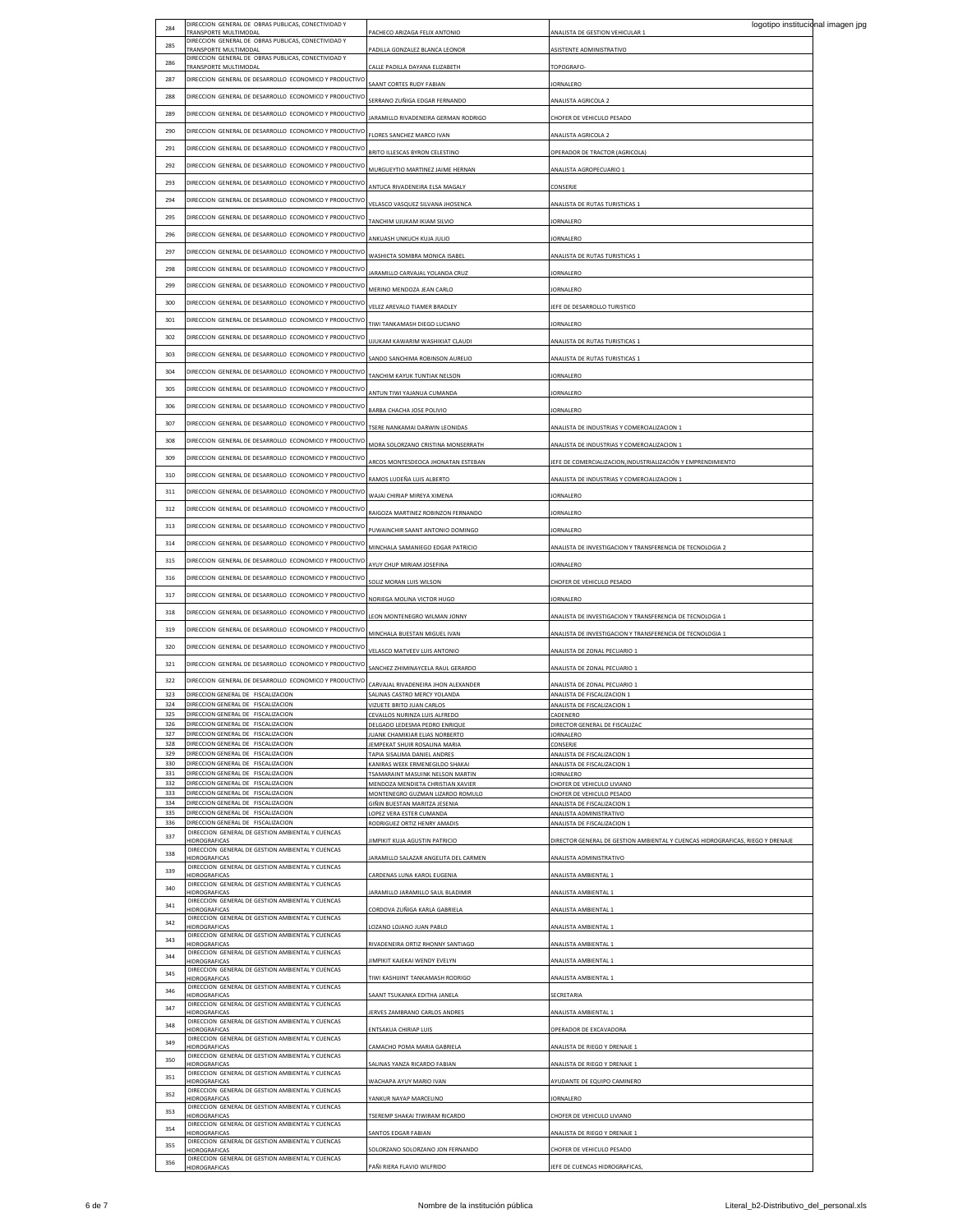| 284        | DIRECCION GENERAL DE OBRAS PUBLICAS, CONECTIVIDAD Y                          |                                                                     | logotipo institucional imagen jpg                                              |  |
|------------|------------------------------------------------------------------------------|---------------------------------------------------------------------|--------------------------------------------------------------------------------|--|
|            | TRANSPORTE MULTIMODAL<br>DIRECCION GENERAL DE OBRAS PUBLICAS, CONECTIVIDAD Y | ACHECO ARIZAGA FELIX ANTONIO                                        | <b>INALISTA DE GESTION VEHICULAR 1</b>                                         |  |
| 285        | TRANSPORTE MULTIMODAL                                                        | PADILLA GONZALEZ BLANCA LEONOR                                      | <b>ISISTENTE ADMINISTRATIVO</b>                                                |  |
| 286        | DIRECCION GENERAL DE OBRAS PUBLICAS, CONECTIVIDAD Y                          |                                                                     |                                                                                |  |
|            | TRANSPORTE MULTIMODAL                                                        | CALLE PADILLA DAYANA ELIZABETH                                      | <b>TOPOGRAFO-</b>                                                              |  |
| 287        | DIRECCION GENERAL DE DESARROLLO ECONOMICO Y PRODUCTIVO                       | AANT CORTES RUDY FABIAN                                             | ORNALERO                                                                       |  |
| 288        | DIRECCION GENERAL DE DESARROLLO ECONOMICO Y PRODUCTIVO                       |                                                                     |                                                                                |  |
|            |                                                                              | SERRANO ZUÑIGA EDGAR FERNANDO                                       | <b>NALISTA AGRICOLA 2</b>                                                      |  |
| 289        | DIRECCION, GENERAL DE DESARROLLO, ECONOMICO Y PRODUCTIVO                     | ARAMILLO RIVADENEIRA GERMAN RODRIGO                                 | HOFER DE VEHICULO PESADO                                                       |  |
| 290        | DIRECCION GENERAL DE DESARROLLO ECONOMICO Y PRODUCTIVO                       |                                                                     |                                                                                |  |
|            |                                                                              | FLORES SANCHEZ MARCO IVAN                                           | <b>NALISTA AGRICOLA 2</b>                                                      |  |
| 291        | DIRECCION GENERAL DE DESARROLLO ECONOMICO Y PRODUCTIVO                       | BRITO ILLESCAS BYRON CELESTINO                                      | OPERADOR DE TRACTOR (AGRICOLA)                                                 |  |
| 292        | DIRECCION GENERAL DE DESARROLLO ECONOMICO Y PRODUCTIVO                       |                                                                     |                                                                                |  |
|            |                                                                              | <b>MURGUEYTIO MARTINEZ JAIME HERNAN</b>                             | <b>INALISTA AGROPECUARIO 1</b>                                                 |  |
| 293        | DIRECCION GENERAL DE DESARROLLO ECONOMICO Y PRODUCTIVO                       | ANTUCA RIVADENEIRA ELSA MAGALY                                      | CONSERJE                                                                       |  |
| 294        | DIRECCION GENERAL DE DESARROLLO ECONOMICO Y PRODUCTIVO                       |                                                                     |                                                                                |  |
|            |                                                                              | VELASCO VASQUEZ SILVANA JHOSENCA                                    | <b>INALISTA DE RUTAS TURISTICAS 1</b>                                          |  |
| 295        | DIRECCION GENERAL DE DESARROLLO ECONOMICO Y PRODUCTIVO                       | TANCHIM UJUKAM IKIAM SILVIO                                         | ORNALERO                                                                       |  |
| 296        | DIRECCION GENERAL DE DESARROLLO ECONOMICO Y PRODUCTIVO                       |                                                                     |                                                                                |  |
|            |                                                                              | ANKUASH UNKUCH KUJA JULIO                                           | ORNALERO                                                                       |  |
| 297        | DIRECCION GENERAL DE DESARROLLO ECONOMICO Y PRODUCTIVO                       | WASHICTA SOMBRA MONICA ISABEL                                       | <b>INALISTA DE RUTAS TURISTICAS 1</b>                                          |  |
| 298        |                                                                              |                                                                     |                                                                                |  |
|            | DIRECCION GENERAL DE DESARROLLO ECONOMICO Y PRODUCTIVO                       | ARAMILLO CARVAJAL YOLANDA CRUZ                                      | ORNALERO                                                                       |  |
| 299        | DIRECCION GENERAL DE DESARROLLO ECONOMICO Y PRODUCTIVO                       | <b>MERINO MENDOZA JEAN CARLO</b>                                    | ORNALERO                                                                       |  |
|            |                                                                              |                                                                     |                                                                                |  |
| 300        | DIRECCION GENERAL DE DESARROLLO ECONOMICO Y PRODUCTIVO                       | VELEZ AREVALO TIAMER BRADLEY                                        | EFE DE DESARROLLO TURISTICO                                                    |  |
| 301        | DIRECCION GENERAL DE DESARROLLO ECONOMICO Y PRODUCTIVO                       | TIWI TANKAMASH DIEGO LUCIANO                                        | ORNALERO                                                                       |  |
|            |                                                                              |                                                                     |                                                                                |  |
| 302        | DIRECCION GENERAL DE DESARROLLO ECONOMICO Y PRODUCTIVO                       | UJUKAM KAWARIM WASHIKIAT CLAUDI                                     | ANALISTA DE RUTAS TURISTICAS 1                                                 |  |
| 303        | DIRECCION GENERAL DE DESARROLLO ECONOMICO Y PRODUCTIVO                       | SANDO SANCHIMA ROBINSON AURELIO                                     | ANALISTA DE RUTAS TURISTICAS 1                                                 |  |
|            |                                                                              |                                                                     |                                                                                |  |
| 304        | DIRECCION GENERAL DE DESARROLLO ECONOMICO Y PRODUCTIVO                       | TANCHIM KAYUK TUNTIAK NELSON                                        | <b>JORNALERO</b>                                                               |  |
| 305        | DIRECCION GENERAL DE DESARROLLO ECONOMICO Y PRODUCTIVO                       |                                                                     |                                                                                |  |
|            |                                                                              | ANTUN TIWI YAJANUA CUMANDA                                          | ORNALERO                                                                       |  |
| 306        | DIRECCION, GENERAL DE DESARROLLO, ECONOMICO Y PRODUCTIVO                     | BARBA CHACHA JOSE POLIVIO                                           | ORNALERO                                                                       |  |
| 307        | DIRECCION GENERAL DE DESARROLLO ECONOMICO Y PRODUCTIVO                       |                                                                     |                                                                                |  |
|            |                                                                              | TSERE NANKAMAI DARWIN LEONIDAS                                      | MALISTA DE INDUSTRIAS Y COMERCIALIZACION 1                                     |  |
| 308        | DIRECCION GENERAL DE DESARROLLO ECONOMICO Y PRODUCTIVO                       | MORA SOLORZANO CRISTINA MONSERRATH                                  | MALISTA DE INDUSTRIAS Y COMERCIALIZACION 1                                     |  |
| 309        | DIRECCION GENERAL DE DESARROLLO ECONOMICO Y PRODUCTIVO                       |                                                                     |                                                                                |  |
|            |                                                                              | ARCOS MONTESDEOCA JHONATAN ESTEBAN                                  | JEFE DE COMERCIALIZACION, INDUSTRIALIZACIÓN Y EMPRENDIMIENTO                   |  |
| 310        | DIRECCION GENERAL DE DESARROLLO ECONOMICO Y PRODUCTIVO                       | RAMOS LUDEÑA LUIS ALBERTO                                           | MALISTA DE INDUSTRIAS Y COMERCIALIZACIÓN 1                                     |  |
| 311        | DIRECCION GENERAL DE DESARROLLO ECONOMICO Y PRODUCTIVO                       |                                                                     |                                                                                |  |
|            |                                                                              | VAJAI CHIRIAP MIREYA XIMENA                                         | ORNALERO                                                                       |  |
| 312        | DIRECCION GENERAL DE DESARROLLO ECONOMICO Y PRODUCTIVO                       | RAIGOZA MARTINEZ ROBINZON FERNANDO                                  | ORNALERO                                                                       |  |
| 313        | DIRECCION GENERAL DE DESARROLLO ECONOMICO Y PRODUCTIVO                       |                                                                     |                                                                                |  |
|            |                                                                              | PUWAINCHIR SAANT ANTONIO DOMINGO                                    | <b>IORNALERO</b>                                                               |  |
| 314        | DIRECCION GENERAL DE DESARROLLO ECONOMICO Y PRODUCTIVO                       | MINCHALA SAMANIEGO EDGAR PATRICIO                                   | MALISTA DE INVESTIGACION Y TRANSFERENCIA DE TECNOLOGIA 2                       |  |
| 315        | DIRECCION GENERAL DE DESARROLLO ECONOMICO Y PRODUCTIVO                       |                                                                     |                                                                                |  |
|            |                                                                              | AYUY CHUP MIRIAM JOSEFINA                                           | <b>IORNALERO</b>                                                               |  |
| 316        | DIRECCION GENERAL DE DESARROLLO ECONOMICO Y PRODUCTIVO                       | SOLIZ MORAN LUIS WILSON                                             | CHOFER DE VEHICULO PESADO                                                      |  |
| 317        | DIRECCION GENERAL DE DESARROLLO ECONOMICO Y PRODUCTIVO                       |                                                                     |                                                                                |  |
|            |                                                                              | VORIEGA MOLINA VICTOR HUGO                                          | ORNALERO                                                                       |  |
| 318        | DIRECCION GENERAL DE DESARROLLO ECONOMICO Y PRODUCTIVO                       | EON MONTENEGRO WILMAN JONNY                                         | MALISTA DE INVESTIGACION Y TRANSFERENCIA DE TECNOLOGIA 1                       |  |
| 319        | DIRECCION GENERAL DE DESARROLLO ECONOMICO Y PRODUCTIVO                       |                                                                     |                                                                                |  |
|            |                                                                              | MINCHALA BUESTAN MIGUEL IVAN                                        | MALISTA DE INVESTIGACION Y TRANSFERENCIA DE TECNOLOGIA 1                       |  |
| 320        | DIRECCION GENERAL DE DESARROLLO ECONOMICO Y PRODUCTIVO                       | VELASCO MATVEEV LUIS ANTONIO                                        | ANALISTA DE ZONAL PECUARIO 1                                                   |  |
| 321        | DIRECCION GENERAL DE DESARROLLO ECONOMICO Y PRODUCTIVO                       |                                                                     |                                                                                |  |
|            |                                                                              | SANCHEZ ZHIMINAYCELA RAUL GERARDO                                   | ANALISTA DE ZONAL PECUARIO 1                                                   |  |
| 322        | DIRECCION GENERAL DE DESARROLLO ECONOMICO Y PRODUCTIVO                       | CARVAJAL RIVADENEIRA JHON ALEXANDER                                 | MALISTA DE ZONAL PECUARIO 1                                                    |  |
|            |                                                                              |                                                                     |                                                                                |  |
|            |                                                                              |                                                                     |                                                                                |  |
| 323<br>324 | DIRECCION GENERAL DE FISCALIZACION<br>DIRECCION GENERAL DE FISCALIZACION     | ALINAS CASTRO MERCY YOLANDA<br>VIZUETE BRITO JUAN CARLOS            | ANALISTA DE FISCALIZACION 1<br>ANALISTA DE FISCALIZACION 1                     |  |
| 325        | DIRECCION GENERAL DE FISCALIZACION                                           | CEVALLOS NURINZA LUIS ALFREDO                                       | CADENERO                                                                       |  |
| 326        | DIRECCION GENERAL DE FISCALIZACION                                           | DELGADO LEDESMA PEDRO ENRIQUE                                       | DIRECTOR GENERAL DE FISCALIZAC                                                 |  |
| 327        | DIRECCION GENERAL DE FISCALIZACION                                           | UANK CHAMIKIAR ELIAS NORBERTO                                       | ORNALERO                                                                       |  |
| 328        | DIRECCION GENERAL DE FISCALIZACION                                           | <b>FMPFKAT SHUIR ROSALINA MARIA</b>                                 | CONSERJE                                                                       |  |
| 329        | DIRECCION GENERAL DE FISCALIZACION                                           | TAPIA SISALIMA DANIEL ANDRES                                        | ANALISTA DE FISCALIZACIÓN 1                                                    |  |
| 330<br>331 | DIRECCION GENERAL DE FISCALIZACION<br>DIRECCION GENERAL DE FISCALIZACION     | KANIRAS WEEK ERMENEGILDO SHAKAI<br>TSAMARAINT MASUINK NELSON MARTIN | ANALISTA DE FISCALIZACION 1<br><b>JORNALERO</b>                                |  |
| 332        | DIRECCION GENERAL DE FISCALIZACION                                           | MENDOZA MENDIETA CHRISTIAN XAVIER                                   | CHOFER DE VEHICULO LIVIANO                                                     |  |
| 333        | DIRECCION GENERAL DE FISCALIZACION                                           | MONTENEGRO GUZMAN LIZARDO ROMULO                                    | HOFFR DE VEHICULO PESADO                                                       |  |
| 334        | DIRECCION GENERAL DE FISCALIZACION                                           | SIÑIN BUESTAN MARITZA JESENIA                                       | MALISTA DE FISCALIZACION 1                                                     |  |
| 335        | DIRECCION GENERAL DE FISCALIZACION                                           | LOPEZ VERA ESTER CUMANDA                                            | ANALISTA ADMINISTRATIVO                                                        |  |
| 336        | DIRECCION GENERAL DE FISCALIZACION                                           | RODRIGUEZ ORTIZ HENRY AMADIS                                        | ANALISTA DE FISCALIZACION 1                                                    |  |
| 337        | DIRECCION GENERAL DE GESTION AMBIENTAL Y CUENCAS<br>HIDROGRAFICAS            | IMPIKIT KUJA AGUSTIN PATRICIO                                       | DIRECTOR GENERAL DE GESTION AMBIENTAL Y CUENCAS HIDROGRAFICAS, RIEGO Y DRENAJE |  |
| 338        | DIRECCION GENERAL DE GESTION AMBIENTAL Y CUENCAS                             |                                                                     |                                                                                |  |
|            | HIDROGRAFICAS                                                                | ARAMILLO SALAZAR ANGELITA DEL CARMEN                                | <b>NALISTA ADMINISTRATIVO</b>                                                  |  |
| 339        | DIRECCION GENERAL DE GESTION AMBIENTAL Y CUENCAS<br>HIDROGRAFICAS            | CARDENAS LUNA KAROL EUGENIA                                         | MALISTA AMBIENTAL 1                                                            |  |
| 340        | DIRECCION GENERAL DE GESTION AMBIENTAL Y CUENCAS                             |                                                                     |                                                                                |  |
|            | HIDROGRAFICAS                                                                | ARAMILLO JARAMILLO SAUL BLADIMIR                                    | <b>NALISTA AMBIENTAL 1</b>                                                     |  |
| 341        | DIRECCION GENERAL DE GESTION AMBIENTAL Y CUENCAS<br>HIDROGRAFICAS            | CORDOVA ZUÑIGA KARLA GABRIELA                                       | <b>NALISTA AMBIENTAL 1</b>                                                     |  |
|            | DIRECCION GENERAL DE GESTION AMBIENTAL Y CUENCAS                             |                                                                     |                                                                                |  |
| 342        | HIDROGRAFICAS                                                                | LOZANO LOJANO JUAN PABLO                                            | <b>NALISTA AMBIENTAL 1</b>                                                     |  |
| 343        | DIRECCION GENERAL DE GESTION AMBIENTAL Y CUENCAS                             |                                                                     |                                                                                |  |
|            | HIDROGRAFICAS<br>DIRECCION GENERAL DE GESTION AMBIENTAL Y CUENCAS            | RIVADENEIRA ORTIZ RHONNY SANTIAGO                                   | NALISTA AMBIENTAL 1                                                            |  |
| 344        | HIDROGRAFICAS                                                                | IIMPIKIT KAJEKAI WENDY EVELYN                                       | <b>NALISTA AMBIENTAL 1</b>                                                     |  |
| 345        | DIRECCION GENERAL DE GESTION AMBIENTAL Y CUENCAS                             |                                                                     |                                                                                |  |
|            | HIDROGRAFICAS<br>DIRECCION GENERAL DE GESTION AMBIENTAL Y CUENCAS            | TIWI KASHIJINT TANKAMASH RODRIGO                                    | <b>NALISTA AMBIENTAL 1</b>                                                     |  |
| 346        | HIDROGRAFICAS                                                                | SAANT TSUKANKA EDITHA JANELA                                        | SECRETARIA                                                                     |  |
| 347        | DIRECCION GENERAL DE GESTION AMBIENTAL Y CUENCAS                             |                                                                     |                                                                                |  |
|            | HIDROGRAFICAS<br>DIRECCION GENERAL DE GESTION AMBIENTAL Y CUENCAS            | ERVES ZAMBRANO CARLOS ANDRES                                        | MALISTA AMBIENTAL 1                                                            |  |
| 348        | <b>HIDROGRAFICAS</b>                                                         | ENTSAKUA CHIRIAP LUIS                                               | OPERADOR DE EXCAVADORA                                                         |  |
| 349        | DIRECCION GENERAL DE GESTION AMBIENTAL Y CUENCAS                             |                                                                     |                                                                                |  |
|            | HIDROGRAFICAS                                                                | CAMACHO POMA MARIA GABRIELA                                         | MALISTA DE RIEGO Y DRENAJE 1                                                   |  |
| 350        | DIRECCION GENERAL DE GESTION AMBIENTAL Y CUENCAS<br>HIDROGRAFICAS            | ALINAS YANZA RICARDO FABIAN                                         | MALISTA DE RIEGO Y DRENAJE 1                                                   |  |
|            | DIRECCION GENERAL DE GESTION AMBIENTAL Y CUENCAS                             |                                                                     |                                                                                |  |
| 351        | HIDROGRAFICAS                                                                | WACHAPA AYUY MARIO IVAN                                             | YUDANTE DE EQUIPO CAMINERO                                                     |  |
| 352        | DIRECCION GENERAL DE GESTION AMBIENTAL Y CUENCAS                             |                                                                     |                                                                                |  |
|            | HIDROGRAFICAS<br>DIRECCION GENERAL DE GESTION AMBIENTAL Y CUENCAS            | YANKUR NAYAP MARCELINO                                              | ORNALERO                                                                       |  |
| 353        | HIDROGRAFICAS                                                                | TSEREMP SHAKAI TIWIRAM RICARDO                                      | CHOFER DE VEHICULO LIVIANO                                                     |  |
| 354        | DIRECCION GENERAL DE GESTION AMBIENTAL Y CUENCAS                             |                                                                     |                                                                                |  |
|            | <b>HIDROGRAFICAS</b><br>DIRECCION GENERAL DE GESTION AMBIENTAL Y CUENCAS     | SANTOS EDGAR FABIAN                                                 | MALISTA DE RIEGO Y DRENAJE 1                                                   |  |
| 355        | HIDROGRAFICAS                                                                | SOLORZANO SOLORZANO JON FERNANDO                                    | CHOFER DE VEHICULO PESADO                                                      |  |
| 356        | DIRECCION GENERAL DE GESTION AMBIENTAL Y CUENCAS<br>HIDROGRAFICAS            | PAÑI RIERA FLAVIO WILFRIDO                                          | JEFE DE CUENCAS HIDROGRAFICAS,                                                 |  |